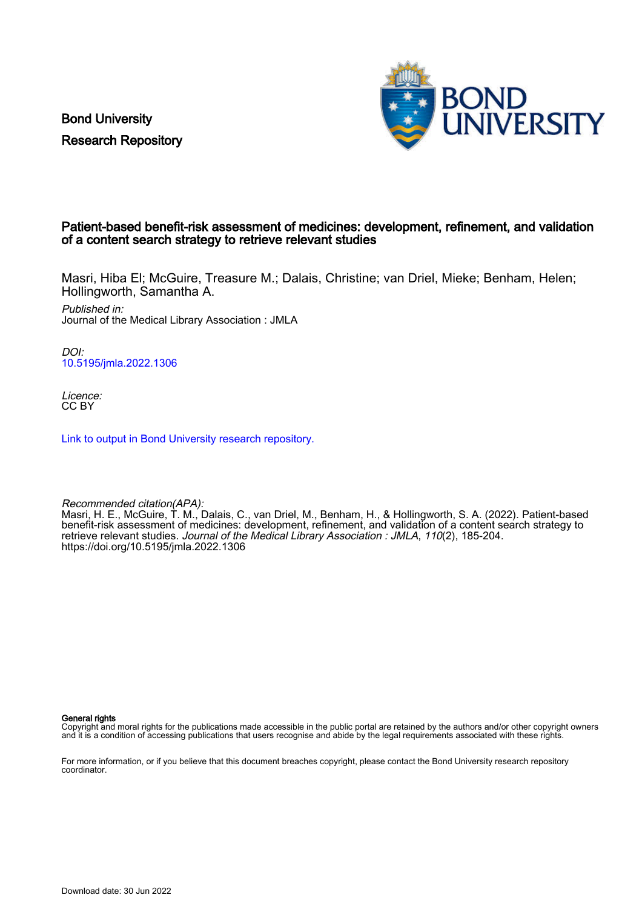Bond University Research Repository



## Patient-based benefit-risk assessment of medicines: development, refinement, and validation of a content search strategy to retrieve relevant studies

Masri, Hiba El; McGuire, Treasure M.; Dalais, Christine; van Driel, Mieke; Benham, Helen; Hollingworth, Samantha A.

Published in: Journal of the Medical Library Association : JMLA

DOI: [10.5195/jmla.2022.1306](https://doi.org/10.5195/jmla.2022.1306)

Licence: CC BY

[Link to output in Bond University research repository.](https://research.bond.edu.au/en/publications/60cbc70e-c127-428f-b3dd-597724376671)

Recommended citation(APA): Masri, H. E., McGuire, T. M., Dalais, C., van Driel, M., Benham, H., & Hollingworth, S. A. (2022). Patient-based benefit-risk assessment of medicines: development, refinement, and validation of a content search strategy to retrieve relevant studies. Journal of the Medical Library Association : JMLA, 110(2), 185-204. <https://doi.org/10.5195/jmla.2022.1306>

General rights

Copyright and moral rights for the publications made accessible in the public portal are retained by the authors and/or other copyright owners and it is a condition of accessing publications that users recognise and abide by the legal requirements associated with these rights.

For more information, or if you believe that this document breaches copyright, please contact the Bond University research repository coordinator.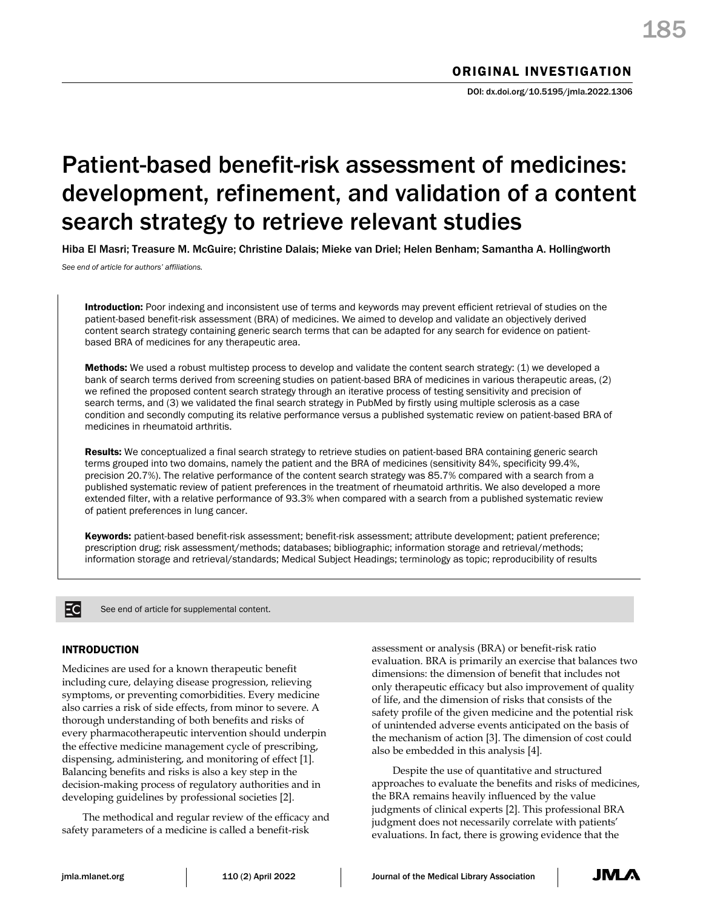# Patient-based benefit-risk assessment of medicines: development, refinement, and validation of a content search strategy to retrieve relevant studies

Hiba El Masri; Treasure M. McGuire; Christine Dalais; Mieke van Driel; Helen Benham; Samantha A. Hollingworth

*See end of article for authors' affiliations.*

Introduction: Poor indexing and inconsistent use of terms and keywords may prevent efficient retrieval of studies on the patient-based benefit-risk assessment (BRA) of medicines. We aimed to develop and validate an objectively derived content search strategy containing generic search terms that can be adapted for any search for evidence on patientbased BRA of medicines for any therapeutic area.

Methods: We used a robust multistep process to develop and validate the content search strategy: (1) we developed a bank of search terms derived from screening studies on patient-based BRA of medicines in various therapeutic areas, (2) we refined the proposed content search strategy through an iterative process of testing sensitivity and precision of search terms, and (3) we validated the final search strategy in PubMed by firstly using multiple sclerosis as a case condition and secondly computing its relative performance versus a published systematic review on patient-based BRA of medicines in rheumatoid arthritis.

Results: We conceptualized a final search strategy to retrieve studies on patient-based BRA containing generic search terms grouped into two domains, namely the patient and the BRA of medicines (sensitivity 84%, specificity 99.4%, precision 20.7%). The relative performance of the content search strategy was 85.7% compared with a search from a published systematic review of patient preferences in the treatment of rheumatoid arthritis. We also developed a more extended filter, with a relative performance of 93.3% when compared with a search from a published systematic review of patient preferences in lung cancer.

Keywords: patient-based benefit-risk assessment; benefit-risk assessment; attribute development; patient preference; prescription drug; risk assessment/methods; databases; bibliographic; information storage and retrieval/methods; information storage and retrieval/standards; Medical Subject Headings; terminology as topic; reproducibility of results

Ec

See end of article for supplemental content.

## INTRODUCTION

Medicines are used for a known therapeutic benefit including cure, delaying disease progression, relieving symptoms, or preventing comorbidities. Every medicine also carries a risk of side effects, from minor to severe. A thorough understanding of both benefits and risks of every pharmacotherapeutic intervention should underpin the effective medicine management cycle of prescribing, dispensing, administering, and monitoring of effect [1]. Balancing benefits and risks is also a key step in the decision-making process of regulatory authorities and in developing guidelines by professional societies [2].

The methodical and regular review of the efficacy and safety parameters of a medicine is called a benefit-risk

assessment or analysis (BRA) or benefit-risk ratio evaluation. BRA is primarily an exercise that balances two dimensions: the dimension of benefit that includes not only therapeutic efficacy but also improvement of quality of life, and the dimension of risks that consists of the safety profile of the given medicine and the potential risk of unintended adverse events anticipated on the basis of the mechanism of action [3]. The dimension of cost could also be embedded in this analysis [4].

Despite the use of quantitative and structured approaches to evaluate the benefits and risks of medicines, the BRA remains heavily influenced by the value judgments of clinical experts [2]. This professional BRA judgment does not necessarily correlate with patients' evaluations. In fact, there is growing evidence that the

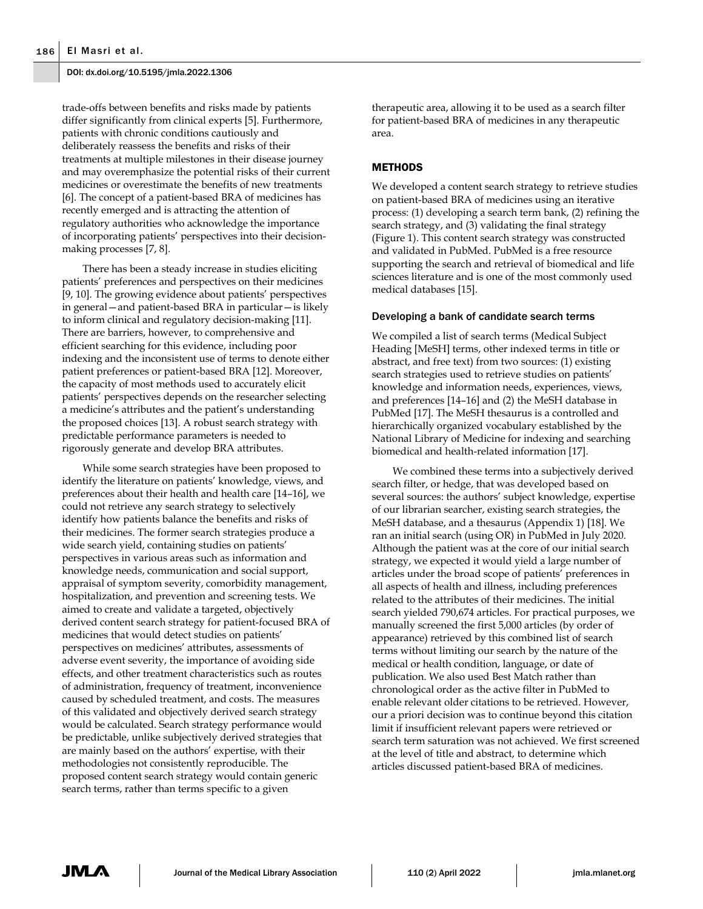trade-offs between benefits and risks made by patients differ significantly from clinical experts [5]. Furthermore, patients with chronic conditions cautiously and deliberately reassess the benefits and risks of their treatments at multiple milestones in their disease journey and may overemphasize the potential risks of their current medicines or overestimate the benefits of new treatments [6]. The concept of a patient-based BRA of medicines has recently emerged and is attracting the attention of regulatory authorities who acknowledge the importance of incorporating patients' perspectives into their decisionmaking processes [7, 8].

There has been a steady increase in studies eliciting patients' preferences and perspectives on their medicines [9, 10]. The growing evidence about patients' perspectives in general—and patient-based BRA in particular—is likely to inform clinical and regulatory decision-making [11]. There are barriers, however, to comprehensive and efficient searching for this evidence, including poor indexing and the inconsistent use of terms to denote either patient preferences or patient-based BRA [12]. Moreover, the capacity of most methods used to accurately elicit patients' perspectives depends on the researcher selecting a medicine's attributes and the patient's understanding the proposed choices [13]. A robust search strategy with predictable performance parameters is needed to rigorously generate and develop BRA attributes.

While some search strategies have been proposed to identify the literature on patients' knowledge, views, and preferences about their health and health care [14–16], we could not retrieve any search strategy to selectively identify how patients balance the benefits and risks of their medicines. The former search strategies produce a wide search yield, containing studies on patients' perspectives in various areas such as information and knowledge needs, communication and social support, appraisal of symptom severity, comorbidity management, hospitalization, and prevention and screening tests. We aimed to create and validate a targeted, objectively derived content search strategy for patient-focused BRA of medicines that would detect studies on patients' perspectives on medicines' attributes, assessments of adverse event severity, the importance of avoiding side effects, and other treatment characteristics such as routes of administration, frequency of treatment, inconvenience caused by scheduled treatment, and costs. The measures of this validated and objectively derived search strategy would be calculated. Search strategy performance would be predictable, unlike subjectively derived strategies that are mainly based on the authors' expertise, with their methodologies not consistently reproducible. The proposed content search strategy would contain generic search terms, rather than terms specific to a given

therapeutic area, allowing it to be used as a search filter for patient-based BRA of medicines in any therapeutic area.

## **METHODS**

We developed a content search strategy to retrieve studies on patient-based BRA of medicines using an iterative process: (1) developing a search term bank, (2) refining the search strategy, and (3) validating the final strategy (Figure 1). This content search strategy was constructed and validated in PubMed. PubMed is a free resource supporting the search and retrieval of biomedical and life sciences literature and is one of the most commonly used medical databases [15].

#### Developing a bank of candidate search terms

We compiled a list of search terms (Medical Subject Heading [MeSH] terms, other indexed terms in title or abstract, and free text) from two sources: (1) existing search strategies used to retrieve studies on patients' knowledge and information needs, experiences, views, and preferences [14–16] and (2) the MeSH database in PubMed [17]. The MeSH thesaurus is a controlled and hierarchically organized vocabulary established by the National Library of Medicine for indexing and searching biomedical and health-related information [17].

We combined these terms into a subjectively derived search filter, or hedge, that was developed based on several sources: the authors' subject knowledge, expertise of our librarian searcher, existing search strategies, the MeSH database, and a thesaurus (Appendix 1) [18]. We ran an initial search (using OR) in PubMed in July 2020. Although the patient was at the core of our initial search strategy, we expected it would yield a large number of articles under the broad scope of patients' preferences in all aspects of health and illness, including preferences related to the attributes of their medicines. The initial search yielded 790,674 articles. For practical purposes, we manually screened the first 5,000 articles (by order of appearance) retrieved by this combined list of search terms without limiting our search by the nature of the medical or health condition, language, or date of publication. We also used Best Match rather than chronological order as the active filter in PubMed to enable relevant older citations to be retrieved. However, our a priori decision was to continue beyond this citation limit if insufficient relevant papers were retrieved or search term saturation was not achieved. We first screened at the level of title and abstract, to determine which articles discussed patient-based BRA of medicines.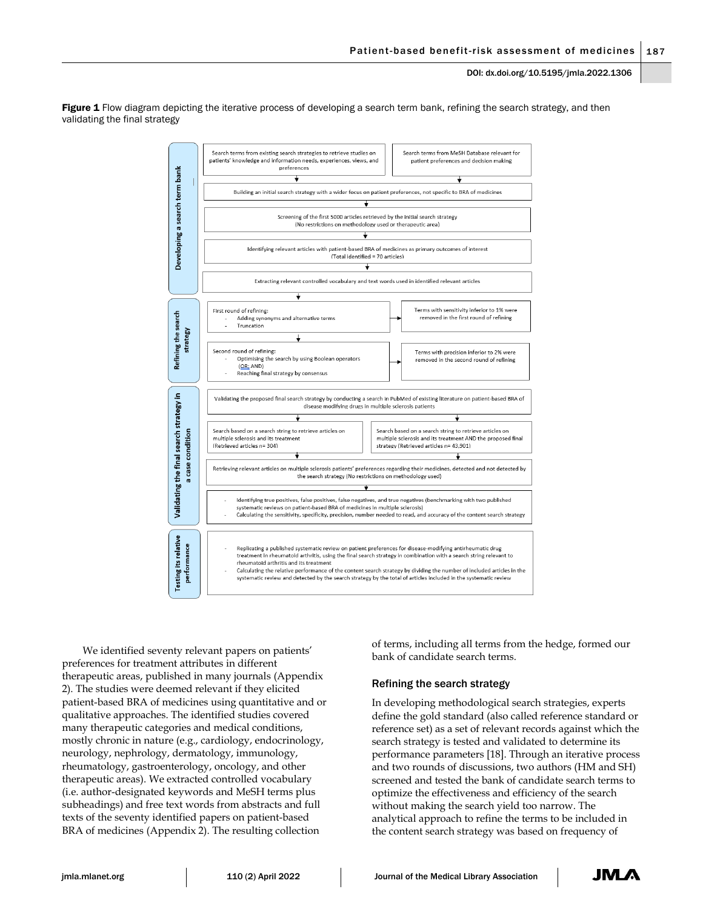Figure 1 Flow diagram depicting the iterative process of developing a search term bank, refining the search strategy, and then validating the final strategy



We identified seventy relevant papers on patients' preferences for treatment attributes in different therapeutic areas, published in many journals (Appendix 2). The studies were deemed relevant if they elicited patient-based BRA of medicines using quantitative and or qualitative approaches. The identified studies covered many therapeutic categories and medical conditions, mostly chronic in nature (e.g., cardiology, endocrinology, neurology, nephrology, dermatology, immunology, rheumatology, gastroenterology, oncology, and other therapeutic areas). We extracted controlled vocabulary (i.e. author-designated keywords and MeSH terms plus subheadings) and free text words from abstracts and full texts of the seventy identified papers on patient-based BRA of medicines (Appendix 2). The resulting collection

of terms, including all terms from the hedge, formed our bank of candidate search terms.

## Refining the search strategy

In developing methodological search strategies, experts define the gold standard (also called reference standard or reference set) as a set of relevant records against which the search strategy is tested and validated to determine its performance parameters [18]. Through an iterative process and two rounds of discussions, two authors (HM and SH) screened and tested the bank of candidate search terms to optimize the effectiveness and efficiency of the search without making the search yield too narrow. The analytical approach to refine the terms to be included in the content search strategy was based on frequency of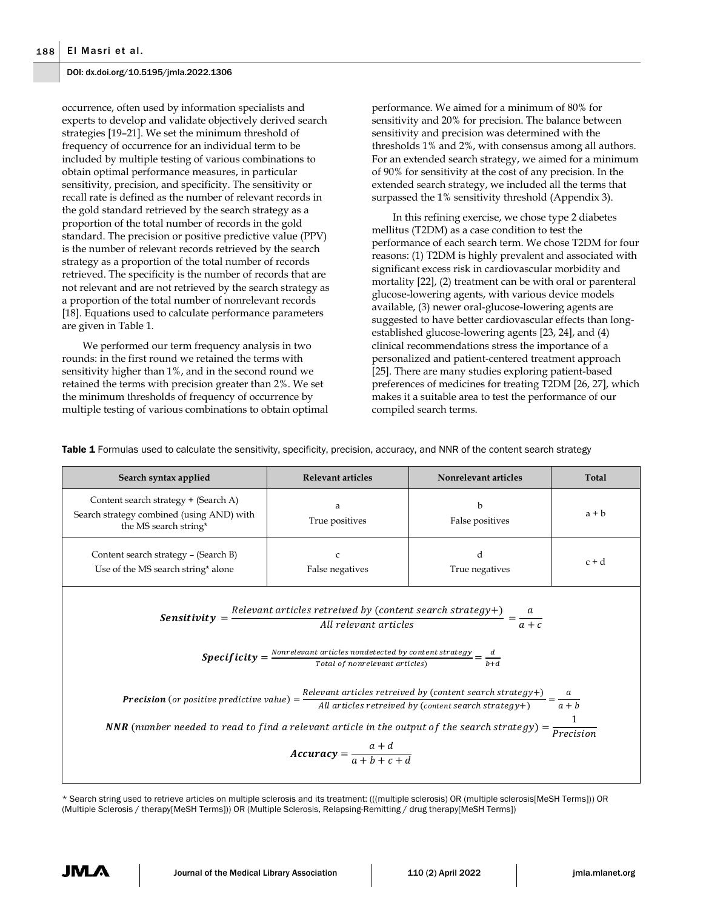occurrence, often used by information specialists and experts to develop and validate objectively derived search strategies [19–21]. We set the minimum threshold of frequency of occurrence for an individual term to be included by multiple testing of various combinations to obtain optimal performance measures, in particular sensitivity, precision, and specificity. The sensitivity or recall rate is defined as the number of relevant records in the gold standard retrieved by the search strategy as a proportion of the total number of records in the gold standard. The precision or positive predictive value (PPV) is the number of relevant records retrieved by the search strategy as a proportion of the total number of records retrieved. The specificity is the number of records that are not relevant and are not retrieved by the search strategy as a proportion of the total number of nonrelevant records [18]. Equations used to calculate performance parameters are given in Table 1.

We performed our term frequency analysis in two rounds: in the first round we retained the terms with sensitivity higher than 1%, and in the second round we retained the terms with precision greater than 2%. We set the minimum thresholds of frequency of occurrence by multiple testing of various combinations to obtain optimal performance. We aimed for a minimum of 80% for sensitivity and 20% for precision. The balance between sensitivity and precision was determined with the thresholds 1% and 2%, with consensus among all authors. For an extended search strategy, we aimed for a minimum of 90% for sensitivity at the cost of any precision. In the extended search strategy, we included all the terms that surpassed the 1% sensitivity threshold (Appendix 3).

In this refining exercise, we chose type 2 diabetes mellitus (T2DM) as a case condition to test the performance of each search term. We chose T2DM for four reasons: (1) T2DM is highly prevalent and associated with significant excess risk in cardiovascular morbidity and mortality [22], (2) treatment can be with oral or parenteral glucose-lowering agents, with various device models available, (3) newer oral-glucose-lowering agents are suggested to have better cardiovascular effects than longestablished glucose-lowering agents [23, 24], and (4) clinical recommendations stress the importance of a personalized and patient-centered treatment approach [25]. There are many studies exploring patient-based preferences of medicines for treating T2DM [26, 27], which makes it a suitable area to test the performance of our compiled search terms.

**Search syntax applied Relevant articles Nonrelevant articles Total** Content search strategy + (Search A) Search strategy combined (using AND) with the MS search string\* a True positives b False positives  $a + b$ Content search strategy – (Search B) Use of the MS search string\* alone c False negatives d True negatives c + d  $Sensitivity =$ Relevant articles retreived by (content search strategy+)<br>All relevant articles  $\frac{a}{a+b}$  $a + c$ **Specificity** =  $\frac{Nonrelevant\,aricles\,nondetected\,by\,content\,strategy}{Total\,of\,normal\,part\,articles)}$ t articles nondetected by content strategy  $=\frac{d}{b+1}$ <br>Total of nonrelevant articles)  $_{b+d}$ **Precision** (or positive predictive value) =  $\frac{Relevant \, articles \, retrieved \, by \, (content \, search \, strategy+)}{\frac{dim}{max} \, (1 - 1) \, (1 - 1) \, (1 - 1) \, (1 - 1) \, (1 - 1) \, (1 - 1) \, (1 - 1) \, (1 - 1) \, (1 - 1) \, (1 - 1) \, (1 - 1) \, (1 - 1) \, (1 - 1) \, (1 - 1) \, (1 - 1) \, (1 - 1) \, (1 - 1) \, (1$ vant articles retreived by (content search strategy+) =  $\frac{a}{a+h}$ <br>All articles retreived by (content search strategy+) =  $\frac{a}{a+h}$  $a + b$ **NNR** (number needed to read to find a relevant article in the output of the search strategy) =  $\frac{1}{\rho_{\text{max}}}$ Precision  $Accuracy = \frac{a+d}{a+b+c}$  $a + b + c + d$ 

Table 1 Formulas used to calculate the sensitivity, specificity, precision, accuracy, and NNR of the content search strategy

\* Search string used to retrieve articles on multiple sclerosis and its treatment: (((multiple sclerosis) OR (multiple sclerosis[MeSH Terms])) OR (Multiple Sclerosis / therapy[MeSH Terms])) OR (Multiple Sclerosis, Relapsing-Remitting / drug therapy[MeSH Terms])

JM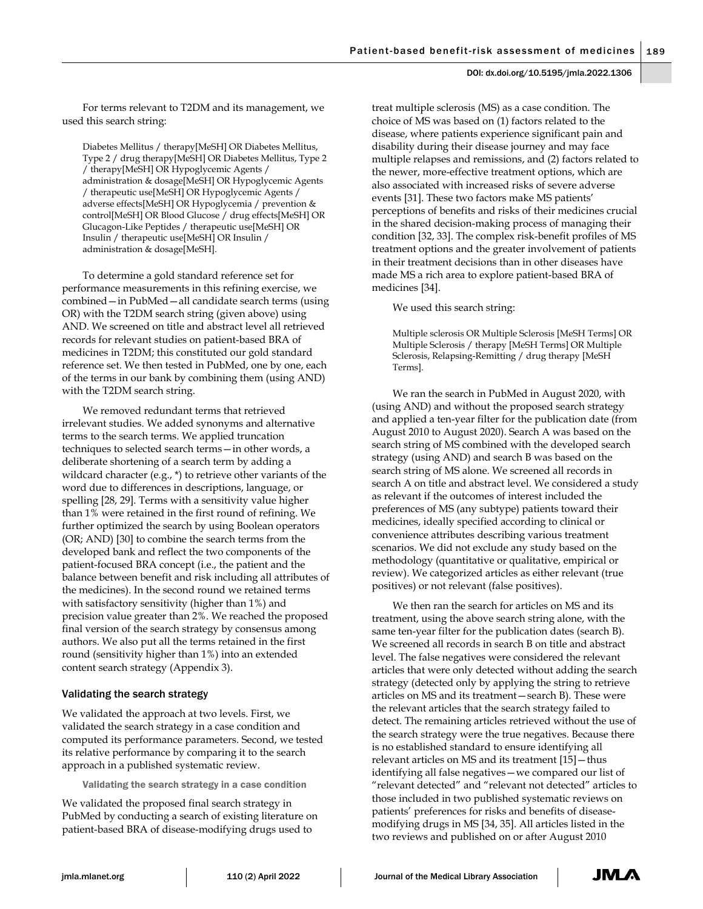For terms relevant to T2DM and its management, we used this search string:

Diabetes Mellitus / therapy[MeSH] OR Diabetes Mellitus, Type 2 / drug therapy[MeSH] OR Diabetes Mellitus, Type 2 / therapy[MeSH] OR Hypoglycemic Agents / administration & dosage[MeSH] OR Hypoglycemic Agents / therapeutic use[MeSH] OR Hypoglycemic Agents / adverse effects[MeSH] OR Hypoglycemia / prevention & control[MeSH] OR Blood Glucose / drug effects[MeSH] OR Glucagon-Like Peptides / therapeutic use[MeSH] OR Insulin / therapeutic use[MeSH] OR Insulin / administration & dosage[MeSH].

To determine a gold standard reference set for performance measurements in this refining exercise, we combined—in PubMed—all candidate search terms (using OR) with the T2DM search string (given above) using AND. We screened on title and abstract level all retrieved records for relevant studies on patient-based BRA of medicines in T2DM; this constituted our gold standard reference set. We then tested in PubMed, one by one, each of the terms in our bank by combining them (using AND) with the T2DM search string.

We removed redundant terms that retrieved irrelevant studies. We added synonyms and alternative terms to the search terms. We applied truncation techniques to selected search terms—in other words, a deliberate shortening of a search term by adding a wildcard character (e.g., \*) to retrieve other variants of the word due to differences in descriptions, language, or spelling [28, 29]. Terms with a sensitivity value higher than 1% were retained in the first round of refining. We further optimized the search by using Boolean operators (OR; AND) [30] to combine the search terms from the developed bank and reflect the two components of the patient-focused BRA concept (i.e., the patient and the balance between benefit and risk including all attributes of the medicines). In the second round we retained terms with satisfactory sensitivity (higher than 1%) and precision value greater than 2%. We reached the proposed final version of the search strategy by consensus among authors. We also put all the terms retained in the first round (sensitivity higher than 1%) into an extended content search strategy (Appendix 3).

## Validating the search strategy

We validated the approach at two levels. First, we validated the search strategy in a case condition and computed its performance parameters. Second, we tested its relative performance by comparing it to the search approach in a published systematic review.

Validating the search strategy in a case condition

We validated the proposed final search strategy in PubMed by conducting a search of existing literature on patient-based BRA of disease-modifying drugs used to

treat multiple sclerosis (MS) as a case condition. The choice of MS was based on (1) factors related to the disease, where patients experience significant pain and disability during their disease journey and may face multiple relapses and remissions, and (2) factors related to the newer, more-effective treatment options, which are also associated with increased risks of severe adverse events [31]. These two factors make MS patients' perceptions of benefits and risks of their medicines crucial in the shared decision-making process of managing their condition [32, 33]. The complex risk-benefit profiles of MS treatment options and the greater involvement of patients in their treatment decisions than in other diseases have made MS a rich area to explore patient-based BRA of medicines [34].

We used this search string:

Multiple sclerosis OR Multiple Sclerosis [MeSH Terms] OR Multiple Sclerosis / therapy [MeSH Terms] OR Multiple Sclerosis, Relapsing-Remitting / drug therapy [MeSH Terms].

We ran the search in PubMed in August 2020, with (using AND) and without the proposed search strategy and applied a ten-year filter for the publication date (from August 2010 to August 2020). Search A was based on the search string of MS combined with the developed search strategy (using AND) and search B was based on the search string of MS alone. We screened all records in search A on title and abstract level. We considered a study as relevant if the outcomes of interest included the preferences of MS (any subtype) patients toward their medicines, ideally specified according to clinical or convenience attributes describing various treatment scenarios. We did not exclude any study based on the methodology (quantitative or qualitative, empirical or review). We categorized articles as either relevant (true positives) or not relevant (false positives).

We then ran the search for articles on MS and its treatment, using the above search string alone, with the same ten-year filter for the publication dates (search B). We screened all records in search B on title and abstract level. The false negatives were considered the relevant articles that were only detected without adding the search strategy (detected only by applying the string to retrieve articles on MS and its treatment—search B). These were the relevant articles that the search strategy failed to detect. The remaining articles retrieved without the use of the search strategy were the true negatives. Because there is no established standard to ensure identifying all relevant articles on MS and its treatment [15]—thus identifying all false negatives—we compared our list of "relevant detected" and "relevant not detected" articles to those included in two published systematic reviews on patients' preferences for risks and benefits of diseasemodifying drugs in MS [34, 35]. All articles listed in the two reviews and published on or after August 2010

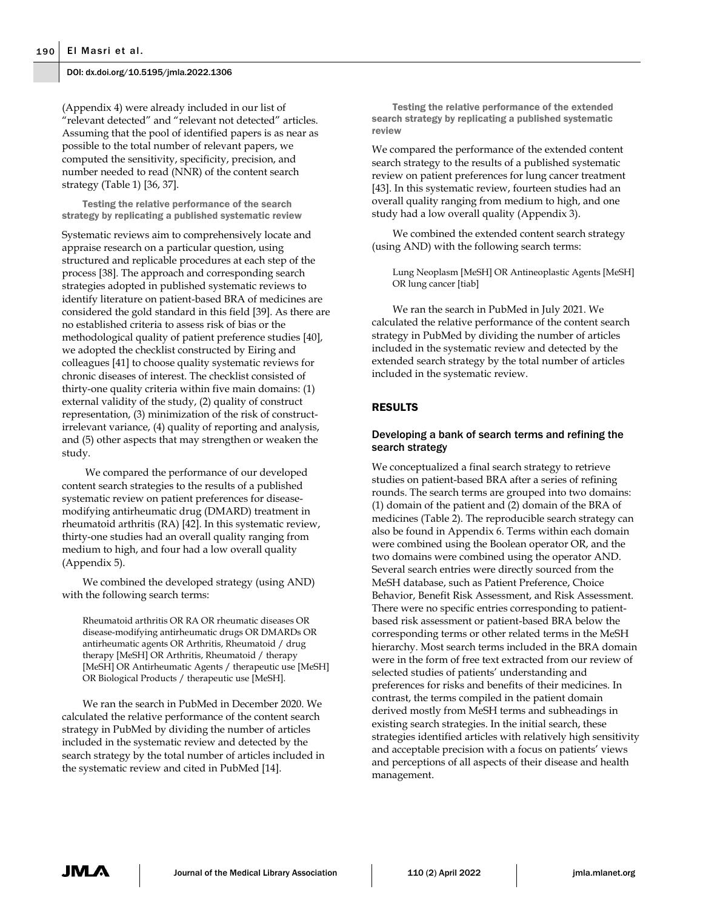(Appendix 4) were already included in our list of "relevant detected" and "relevant not detected" articles. Assuming that the pool of identified papers is as near as possible to the total number of relevant papers, we computed the sensitivity, specificity, precision, and number needed to read (NNR) of the content search strategy (Table 1) [36, 37].

Testing the relative performance of the search strategy by replicating a published systematic review

Systematic reviews aim to comprehensively locate and appraise research on a particular question, using structured and replicable procedures at each step of the process [38]. The approach and corresponding search strategies adopted in published systematic reviews to identify literature on patient-based BRA of medicines are considered the gold standard in this field [39]. As there are no established criteria to assess risk of bias or the methodological quality of patient preference studies [40], we adopted the checklist constructed by Eiring and colleagues [41] to choose quality systematic reviews for chronic diseases of interest. The checklist consisted of thirty-one quality criteria within five main domains: (1) external validity of the study, (2) quality of construct representation, (3) minimization of the risk of constructirrelevant variance, (4) quality of reporting and analysis, and (5) other aspects that may strengthen or weaken the study.

We compared the performance of our developed content search strategies to the results of a published systematic review on patient preferences for diseasemodifying antirheumatic drug (DMARD) treatment in rheumatoid arthritis (RA) [42]. In this systematic review, thirty-one studies had an overall quality ranging from medium to high, and four had a low overall quality (Appendix 5).

We combined the developed strategy (using AND) with the following search terms:

Rheumatoid arthritis OR RA OR rheumatic diseases OR disease-modifying antirheumatic drugs OR DMARDs OR antirheumatic agents OR Arthritis, Rheumatoid / drug therapy [MeSH] OR Arthritis, Rheumatoid / therapy [MeSH] OR Antirheumatic Agents / therapeutic use [MeSH] OR Biological Products / therapeutic use [MeSH].

We ran the search in PubMed in December 2020. We calculated the relative performance of the content search strategy in PubMed by dividing the number of articles included in the systematic review and detected by the search strategy by the total number of articles included in the systematic review and cited in PubMed [14].

Testing the relative performance of the extended search strategy by replicating a published systematic review

We compared the performance of the extended content search strategy to the results of a published systematic review on patient preferences for lung cancer treatment [43]. In this systematic review, fourteen studies had an overall quality ranging from medium to high, and one study had a low overall quality (Appendix 3).

We combined the extended content search strategy (using AND) with the following search terms:

Lung Neoplasm [MeSH] OR Antineoplastic Agents [MeSH] OR lung cancer [tiab]

We ran the search in PubMed in July 2021. We calculated the relative performance of the content search strategy in PubMed by dividing the number of articles included in the systematic review and detected by the extended search strategy by the total number of articles included in the systematic review.

## RESULTS

## Developing a bank of search terms and refining the search strategy

We conceptualized a final search strategy to retrieve studies on patient-based BRA after a series of refining rounds. The search terms are grouped into two domains: (1) domain of the patient and (2) domain of the BRA of medicines (Table 2). The reproducible search strategy can also be found in Appendix 6. Terms within each domain were combined using the Boolean operator OR, and the two domains were combined using the operator AND. Several search entries were directly sourced from the MeSH database, such as Patient Preference, Choice Behavior, Benefit Risk Assessment, and Risk Assessment. There were no specific entries corresponding to patientbased risk assessment or patient-based BRA below the corresponding terms or other related terms in the MeSH hierarchy. Most search terms included in the BRA domain were in the form of free text extracted from our review of selected studies of patients' understanding and preferences for risks and benefits of their medicines. In contrast, the terms compiled in the patient domain derived mostly from MeSH terms and subheadings in existing search strategies. In the initial search, these strategies identified articles with relatively high sensitivity and acceptable precision with a focus on patients' views and perceptions of all aspects of their disease and health management.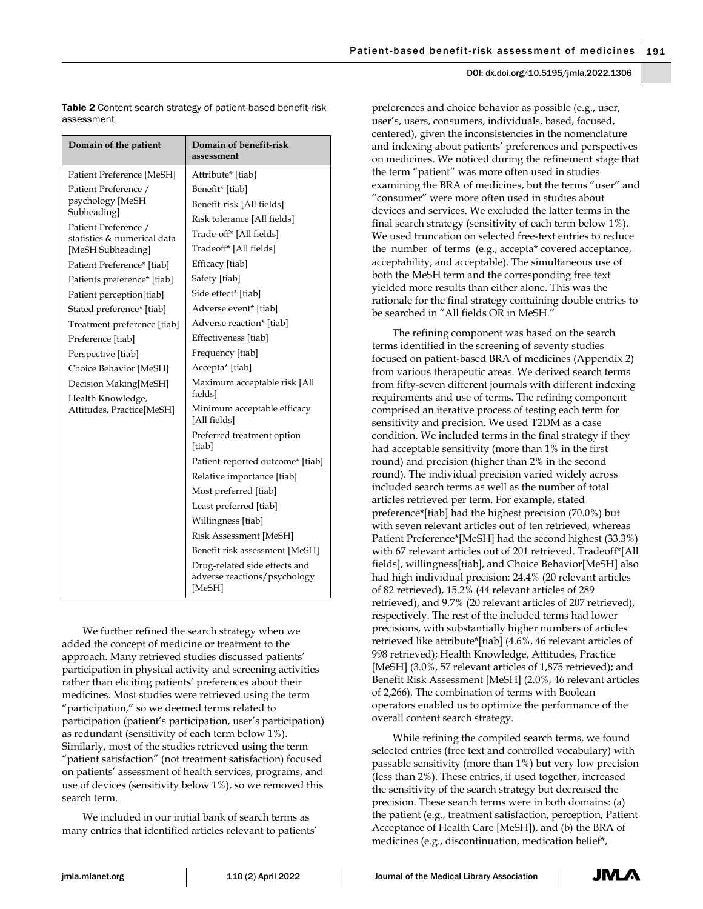Table 2 Content search strategy of patient-based benefit-risk assessment

| Domain of the patient                                                                                                                                                                                                                                                                                                                                                                                                                    | Domain of benefit-risk<br>assessment                                                                                                                                                                                                                                                                                                                                                                                                                                                                                                                                                                                                                     |
|------------------------------------------------------------------------------------------------------------------------------------------------------------------------------------------------------------------------------------------------------------------------------------------------------------------------------------------------------------------------------------------------------------------------------------------|----------------------------------------------------------------------------------------------------------------------------------------------------------------------------------------------------------------------------------------------------------------------------------------------------------------------------------------------------------------------------------------------------------------------------------------------------------------------------------------------------------------------------------------------------------------------------------------------------------------------------------------------------------|
| Patient Preference [MeSH]                                                                                                                                                                                                                                                                                                                                                                                                                | Attribute* [tiab]                                                                                                                                                                                                                                                                                                                                                                                                                                                                                                                                                                                                                                        |
| Patient Preference /<br>psychology [MeSH<br>Subheading]<br>Patient Preference /<br>statistics & numerical data<br>[MeSH Subheading]<br>Patient Preference* [tiab]<br>Patients preference* [tiab]<br>Patient perception[tiab]<br>Stated preference* [tiab]<br>Treatment preference [tiab]<br>Preference [tiab]<br>Perspective [tiab]<br>Choice Behavior [MeSH]<br>Decision Making[MeSH]<br>Health Knowledge,<br>Attitudes, Practice[MeSH] | Benefit* [tiab]<br>Benefit-risk [All fields]<br>Risk tolerance [All fields]<br>Trade-off* [All fields]<br>Tradeoff* [All fields]<br>Efficacy [tiab]<br>Safety [tiab]<br>Side effect* [tiab]<br>Adverse event* [tiab]<br>Adverse reaction* [tiab]<br>Effectiveness [tiab]<br>Frequency [tiab]<br>Accepta* [tiab]<br>Maximum acceptable risk [All<br>fields]<br>Minimum acceptable efficacy<br>[All fields]<br>Preferred treatment option<br>[tiab]<br>Patient-reported outcome* [tiab]<br>Relative importance [tiab]<br>Most preferred [tiab]<br>Least preferred [tiab]<br>Willingness [tiab]<br>Risk Assessment [MeSH]<br>Benefit risk assessment [MeSH] |
|                                                                                                                                                                                                                                                                                                                                                                                                                                          | Drug-related side effects and<br>adverse reactions/psychology<br>[MeSH]                                                                                                                                                                                                                                                                                                                                                                                                                                                                                                                                                                                  |

We further refined the search strategy when we added the concept of medicine or treatment to the approach. Many retrieved studies discussed patients' participation in physical activity and screening activities rather than eliciting patients' preferences about their medicines. Most studies were retrieved using the term "participation," so we deemed terms related to participation (patient's participation, user's participation) as redundant (sensitivity of each term below 1%). Similarly, most of the studies retrieved using the term "patient satisfaction" (not treatment satisfaction) focused on patients' assessment of health services, programs, and use of devices (sensitivity below 1%), so we removed this search term.

We included in our initial bank of search terms as many entries that identified articles relevant to patients' preferences and choice behavior as possible (e.g., user, user's, users, consumers, individuals, based, focused, centered), given the inconsistencies in the nomenclature and indexing about patients' preferences and perspectives on medicines. We noticed during the refinement stage that the term "patient" was more often used in studies examining the BRA of medicines, but the terms "user" and "consumer" were more often used in studies about devices and services. We excluded the latter terms in the final search strategy (sensitivity of each term below 1%). We used truncation on selected free-text entries to reduce the number of terms (e.g., accepta\* covered acceptance, acceptability, and acceptable). The simultaneous use of both the MeSH term and the corresponding free text yielded more results than either alone. This was the rationale for the final strategy containing double entries to be searched in "All fields OR in MeSH."

The refining component was based on the search terms identified in the screening of seventy studies focused on patient-based BRA of medicines (Appendix 2) from various therapeutic areas. We derived search terms from fifty-seven different journals with different indexing requirements and use of terms. The refining component comprised an iterative process of testing each term for sensitivity and precision. We used T2DM as a case condition. We included terms in the final strategy if they had acceptable sensitivity (more than 1% in the first round) and precision (higher than 2% in the second round). The individual precision varied widely across included search terms as well as the number of total articles retrieved per term. For example, stated preference\*[tiab] had the highest precision (70.0%) but with seven relevant articles out of ten retrieved, whereas Patient Preference\*[MeSH] had the second highest (33.3%) with 67 relevant articles out of 201 retrieved. Tradeoff\*[All fields], willingness[tiab], and Choice Behavior[MeSH] also had high individual precision: 24.4% (20 relevant articles of 82 retrieved), 15.2% (44 relevant articles of 289 retrieved), and 9.7% (20 relevant articles of 207 retrieved), respectively. The rest of the included terms had lower precisions, with substantially higher numbers of articles retrieved like attribute\*[tiab] (4.6%, 46 relevant articles of 998 retrieved); Health Knowledge, Attitudes, Practice [MeSH] (3.0%, 57 relevant articles of 1,875 retrieved); and Benefit Risk Assessment [MeSH] (2.0%, 46 relevant articles of 2,266). The combination of terms with Boolean operators enabled us to optimize the performance of the overall content search strategy.

While refining the compiled search terms, we found selected entries (free text and controlled vocabulary) with passable sensitivity (more than 1%) but very low precision (less than 2%). These entries, if used together, increased the sensitivity of the search strategy but decreased the precision. These search terms were in both domains: (a) the patient (e.g., treatment satisfaction, perception, Patient Acceptance of Health Care [MeSH]), and (b) the BRA of medicines (e.g., discontinuation, medication belief\*,

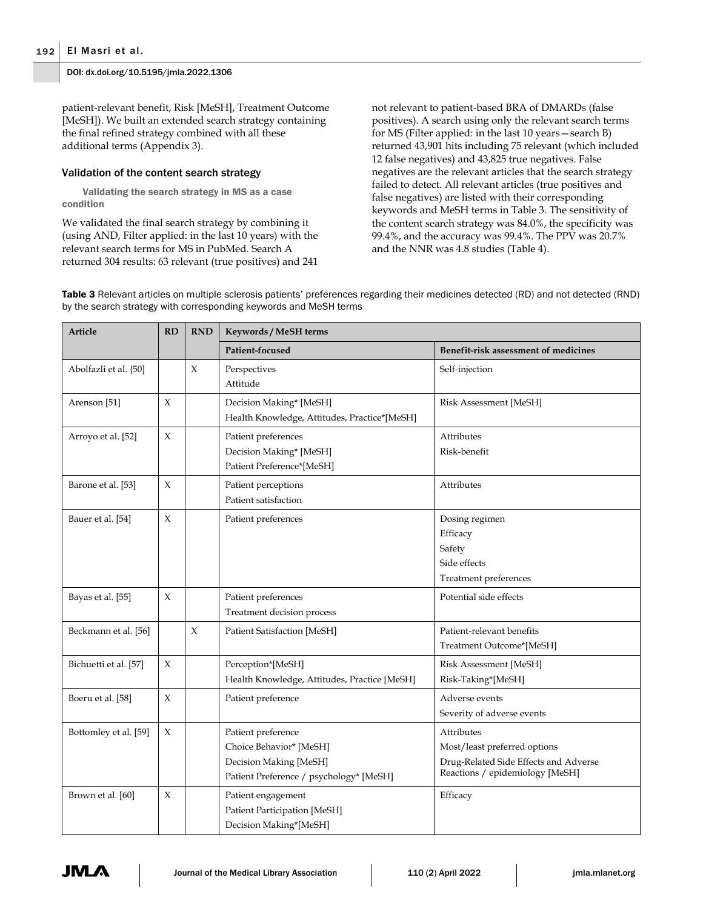patient-relevant benefit, Risk [MeSH], Treatment Outcome [MeSH]). We built an extended search strategy containing the final refined strategy combined with all these additional terms (Appendix 3).

## Validation of the content search strategy

Validating the search strategy in MS as a case condition

We validated the final search strategy by combining it (using AND, Filter applied: in the last 10 years) with the relevant search terms for MS in PubMed. Search A returned 304 results: 63 relevant (true positives) and 241 not relevant to patient-based BRA of DMARDs (false positives). A search using only the relevant search terms for MS (Filter applied: in the last 10 years—search B) returned 43,901 hits including 75 relevant (which included 12 false negatives) and 43,825 true negatives. False negatives are the relevant articles that the search strategy failed to detect. All relevant articles (true positives and false negatives) are listed with their corresponding keywords and MeSH terms in Table 3. The sensitivity of the content search strategy was 84.0%, the specificity was 99.4%, and the accuracy was 99.4%. The PPV was 20.7% and the NNR was 4.8 studies (Table 4).

Table 3 Relevant articles on multiple sclerosis patients' preferences regarding their medicines detected (RD) and not detected (RND) by the search strategy with corresponding keywords and MeSH terms

| <b>Article</b>          | RD          | <b>RND</b>  | Keywords / MeSH terms                                                                                              |                                                                                                                               |
|-------------------------|-------------|-------------|--------------------------------------------------------------------------------------------------------------------|-------------------------------------------------------------------------------------------------------------------------------|
|                         |             |             | Patient-focused                                                                                                    | Benefit-risk assessment of medicines                                                                                          |
| Abolfazli et al. [50]   |             | $\mathsf X$ | Perspectives<br>Attitude                                                                                           | Self-injection                                                                                                                |
| Arenson <sup>[51]</sup> | X           |             | Decision Making* [MeSH]<br>Health Knowledge, Attitudes, Practice*[MeSH]                                            | Risk Assessment [MeSH]                                                                                                        |
| Arroyo et al. [52]      | $\chi$      |             | Patient preferences<br>Decision Making* [MeSH]<br>Patient Preference*[MeSH]                                        | Attributes<br>Risk-benefit                                                                                                    |
| Barone et al. [53]      | X           |             | Patient perceptions<br>Patient satisfaction                                                                        | Attributes                                                                                                                    |
| Bauer et al. [54]       | $\mathsf X$ |             | Patient preferences                                                                                                | Dosing regimen<br>Efficacy<br>Safety<br>Side effects<br>Treatment preferences                                                 |
| Bayas et al. [55]       | X           |             | Patient preferences<br>Treatment decision process                                                                  | Potential side effects                                                                                                        |
| Beckmann et al. [56]    |             | $\chi$      | Patient Satisfaction [MeSH]                                                                                        | Patient-relevant benefits<br>Treatment Outcome*[MeSH]                                                                         |
| Bichuetti et al. [57]   | X           |             | Perception*[MeSH]<br>Health Knowledge, Attitudes, Practice [MeSH]                                                  | Risk Assessment [MeSH]<br>Risk-Taking*[MeSH]                                                                                  |
| Boeru et al. [58]       | $\chi$      |             | Patient preference                                                                                                 | Adverse events<br>Severity of adverse events                                                                                  |
| Bottomley et al. [59]   | X           |             | Patient preference<br>Choice Behavior* [MeSH]<br>Decision Making [MeSH]<br>Patient Preference / psychology* [MeSH] | <b>Attributes</b><br>Most/least preferred options<br>Drug-Related Side Effects and Adverse<br>Reactions / epidemiology [MeSH] |
| Brown et al. [60]       | X           |             | Patient engagement<br>Patient Participation [MeSH]<br>Decision Making*[MeSH]                                       | Efficacy                                                                                                                      |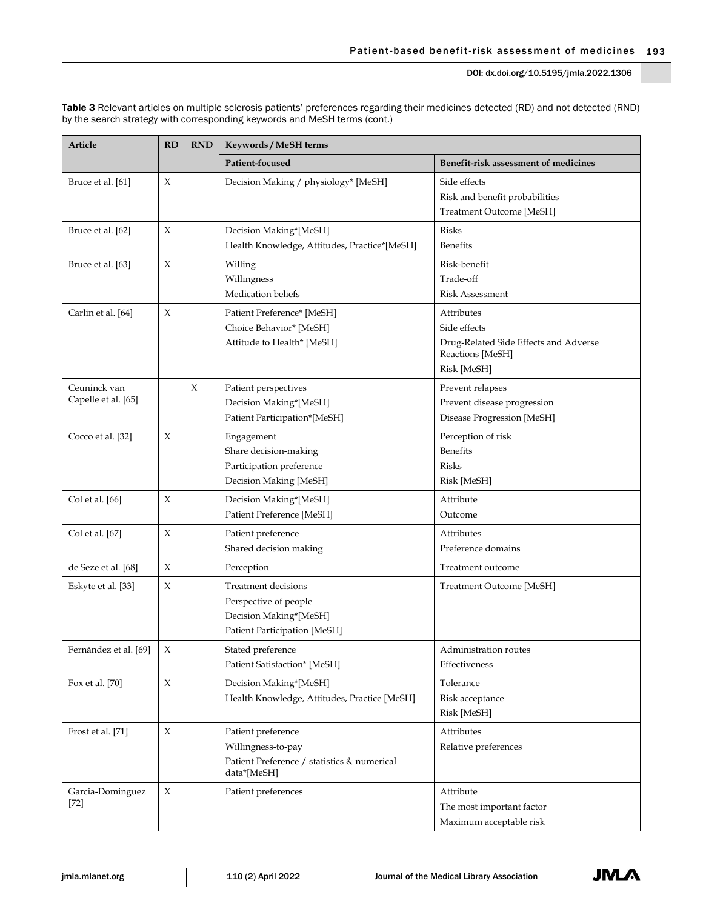|                                                                           | Table 3 Relevant articles on multiple sclerosis patients' preferences regarding their medicines detected (RD) and not detected (RND) |
|---------------------------------------------------------------------------|--------------------------------------------------------------------------------------------------------------------------------------|
| by the search strategy with corresponding keywords and MeSH terms (cont.) |                                                                                                                                      |

| Article                             | RD                  | <b>RND</b> | Keywords / MeSH terms                                                                                         |                                                                                                        |
|-------------------------------------|---------------------|------------|---------------------------------------------------------------------------------------------------------------|--------------------------------------------------------------------------------------------------------|
|                                     |                     |            | Patient-focused                                                                                               | Benefit-risk assessment of medicines                                                                   |
| Bruce et al. [61]                   | X                   |            | Decision Making / physiology* [MeSH]                                                                          | Side effects<br>Risk and benefit probabilities<br>Treatment Outcome [MeSH]                             |
| Bruce et al. [62]                   | X                   |            | Decision Making*[MeSH]<br>Health Knowledge, Attitudes, Practice*[MeSH]                                        | <b>Risks</b><br><b>Benefits</b>                                                                        |
| Bruce et al. [63]                   | X                   |            | Willing<br>Willingness<br>Medication beliefs                                                                  | Risk-benefit<br>Trade-off<br>Risk Assessment                                                           |
| Carlin et al. [64]                  | X                   |            | Patient Preference* [MeSH]<br>Choice Behavior* [MeSH]<br>Attitude to Health* [MeSH]                           | Attributes<br>Side effects<br>Drug-Related Side Effects and Adverse<br>Reactions [MeSH]<br>Risk [MeSH] |
| Ceuninck van<br>Capelle et al. [65] |                     | X          | Patient perspectives<br>Decision Making*[MeSH]<br>Patient Participation*[MeSH]                                | Prevent relapses<br>Prevent disease progression<br>Disease Progression [MeSH]                          |
| Cocco et al. [32]                   | X                   |            | Engagement<br>Share decision-making<br>Participation preference<br>Decision Making [MeSH]                     | Perception of risk<br><b>Benefits</b><br><b>Risks</b><br>Risk [MeSH]                                   |
| Col et al. [66]                     | X                   |            | Decision Making*[MeSH]<br>Patient Preference [MeSH]                                                           | Attribute<br>Outcome                                                                                   |
| Col et al. [67]                     | X                   |            | Patient preference<br>Shared decision making                                                                  | Attributes<br>Preference domains                                                                       |
| de Seze et al. [68]                 | $\mathsf X$         |            | Perception                                                                                                    | Treatment outcome                                                                                      |
| Eskyte et al. [33]                  | X                   |            | <b>Treatment decisions</b><br>Perspective of people<br>Decision Making*[MeSH]<br>Patient Participation [MeSH] | Treatment Outcome [MeSH]                                                                               |
| Fernández et al. [69]               | $\mathsf X$         |            | Stated preference<br>Patient Satisfaction* [MeSH]                                                             | Administration routes<br>Effectiveness                                                                 |
| Fox et al. [70]                     | X                   |            | Decision Making*[MeSH]<br>Health Knowledge, Attitudes, Practice [MeSH]                                        | Tolerance<br>Risk acceptance<br>Risk [MeSH]                                                            |
| Frost et al. [71]                   | $\boldsymbol{\chi}$ |            | Patient preference<br>Willingness-to-pay<br>Patient Preference / statistics & numerical<br>data*[MeSH]        | Attributes<br>Relative preferences                                                                     |
| Garcia-Dominguez<br>$[72]$          | $\chi$              |            | Patient preferences                                                                                           | Attribute<br>The most important factor<br>Maximum acceptable risk                                      |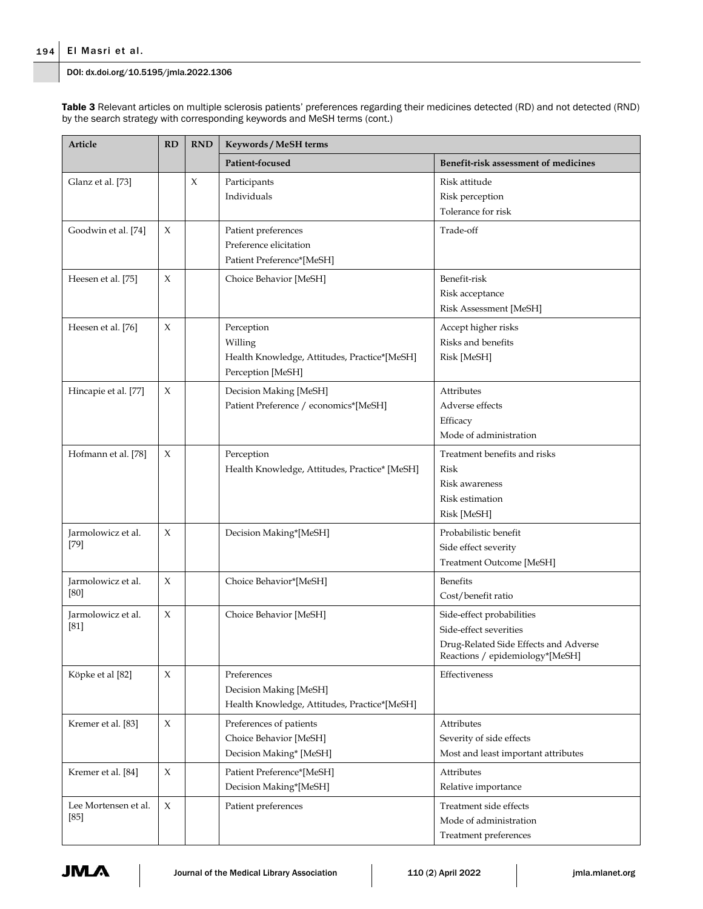| Table 3 Relevant articles on multiple sclerosis patients' preferences regarding their medicines detected (RD) and not detected (RND) |  |  |
|--------------------------------------------------------------------------------------------------------------------------------------|--|--|
| by the search strategy with corresponding keywords and MeSH terms (cont.)                                                            |  |  |

| Article                      | RD<br><b>RND</b><br>Keywords / MeSH terms |   |                                                                                            |                                                                                                                                 |
|------------------------------|-------------------------------------------|---|--------------------------------------------------------------------------------------------|---------------------------------------------------------------------------------------------------------------------------------|
|                              |                                           |   | Patient-focused                                                                            | Benefit-risk assessment of medicines                                                                                            |
| Glanz et al. [73]            |                                           | X | Participants<br>Individuals                                                                | Risk attitude<br>Risk perception<br>Tolerance for risk                                                                          |
| Goodwin et al. [74]          | X                                         |   | Patient preferences<br>Preference elicitation<br>Patient Preference*[MeSH]                 | Trade-off                                                                                                                       |
| Heesen et al. [75]           | X                                         |   | Choice Behavior [MeSH]                                                                     | Benefit-risk<br>Risk acceptance<br>Risk Assessment [MeSH]                                                                       |
| Heesen et al. [76]           | X                                         |   | Perception<br>Willing<br>Health Knowledge, Attitudes, Practice*[MeSH]<br>Perception [MeSH] | Accept higher risks<br>Risks and benefits<br>Risk [MeSH]                                                                        |
| Hincapie et al. [77]         | X                                         |   | Decision Making [MeSH]<br>Patient Preference / economics*[MeSH]                            | <b>Attributes</b><br>Adverse effects<br>Efficacy<br>Mode of administration                                                      |
| Hofmann et al. [78]          | X                                         |   | Perception<br>Health Knowledge, Attitudes, Practice* [MeSH]                                | Treatment benefits and risks<br>Risk<br><b>Risk awareness</b><br>Risk estimation<br>Risk [MeSH]                                 |
| Jarmolowicz et al.<br>$[79]$ | X                                         |   | Decision Making*[MeSH]                                                                     | Probabilistic benefit<br>Side effect severity<br>Treatment Outcome [MeSH]                                                       |
| Jarmolowicz et al.<br>[80]   | X                                         |   | Choice Behavior*[MeSH]                                                                     | <b>Benefits</b><br>Cost/benefit ratio                                                                                           |
| Jarmolowicz et al.<br>$[81]$ | X                                         |   | Choice Behavior [MeSH]                                                                     | Side-effect probabilities<br>Side-effect severities<br>Drug-Related Side Effects and Adverse<br>Reactions / epidemiology*[MeSH] |
| Köpke et al [82]             | X                                         |   | Preferences<br>Decision Making [MeSH]<br>Health Knowledge, Attitudes, Practice*[MeSH]      | Effectiveness                                                                                                                   |
| Kremer et al. [83]           | $\chi$                                    |   | Preferences of patients<br>Choice Behavior [MeSH]<br>Decision Making* [MeSH]               | Attributes<br>Severity of side effects<br>Most and least important attributes                                                   |
| Kremer et al. [84]           | $\chi$                                    |   | Patient Preference*[MeSH]<br>Decision Making*[MeSH]                                        | Attributes<br>Relative importance                                                                                               |
| Lee Mortensen et al.<br>[85] | X                                         |   | Patient preferences                                                                        | Treatment side effects<br>Mode of administration<br>Treatment preferences                                                       |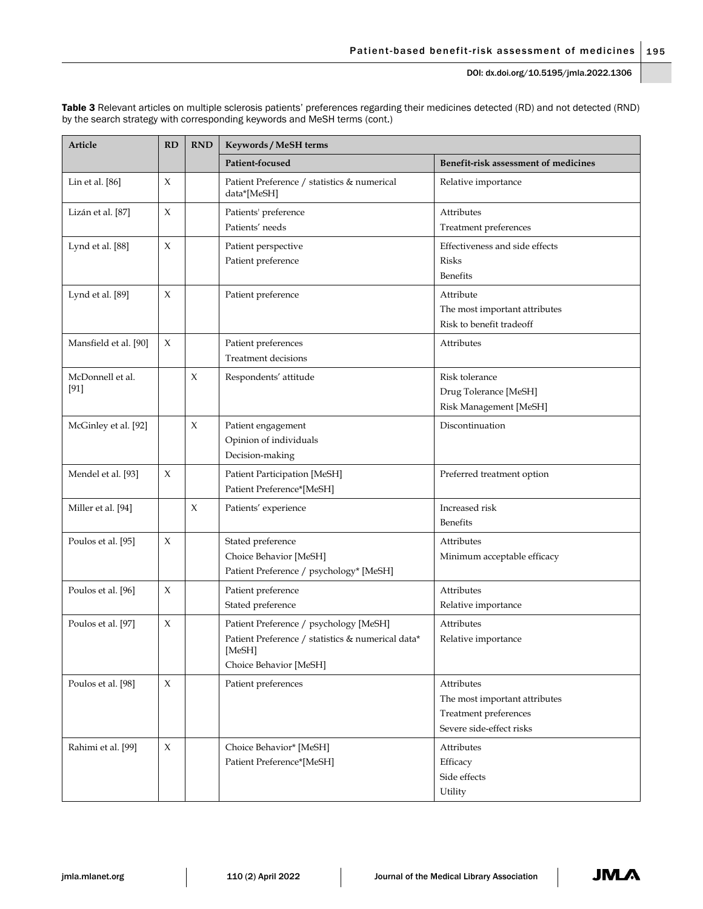| Article                    | RD          | <b>RND</b> | Keywords / MeSH terms                                                                                                           |                                                                                                  |
|----------------------------|-------------|------------|---------------------------------------------------------------------------------------------------------------------------------|--------------------------------------------------------------------------------------------------|
|                            |             |            | Patient-focused                                                                                                                 | Benefit-risk assessment of medicines                                                             |
| Lin et al. [86]            | X           |            | Patient Preference / statistics & numerical<br>data*[MeSH]                                                                      | Relative importance                                                                              |
| Lizán et al. [87]          | X           |            | Patients' preference<br>Patients' needs                                                                                         | <b>Attributes</b><br>Treatment preferences                                                       |
| Lynd et al. [88]           | X           |            | Patient perspective<br>Patient preference                                                                                       | Effectiveness and side effects<br><b>Risks</b><br><b>Benefits</b>                                |
| Lynd et al. [89]           | X           |            | Patient preference                                                                                                              | Attribute<br>The most important attributes<br>Risk to benefit tradeoff                           |
| Mansfield et al. [90]      | X           |            | Patient preferences<br><b>Treatment decisions</b>                                                                               | Attributes                                                                                       |
| McDonnell et al.<br>$[91]$ |             | X          | Respondents' attitude                                                                                                           | Risk tolerance<br>Drug Tolerance [MeSH]<br>Risk Management [MeSH]                                |
| McGinley et al. [92]       |             | X          | Patient engagement<br>Opinion of individuals<br>Decision-making                                                                 | Discontinuation                                                                                  |
| Mendel et al. [93]         | X           |            | Patient Participation [MeSH]<br>Patient Preference*[MeSH]                                                                       | Preferred treatment option                                                                       |
| Miller et al. [94]         |             | X          | Patients' experience                                                                                                            | Increased risk<br><b>Benefits</b>                                                                |
| Poulos et al. [95]         | X           |            | Stated preference<br>Choice Behavior [MeSH]<br>Patient Preference / psychology* [MeSH]                                          | Attributes<br>Minimum acceptable efficacy                                                        |
| Poulos et al. [96]         | X           |            | Patient preference<br>Stated preference                                                                                         | Attributes<br>Relative importance                                                                |
| Poulos et al. [97]         | X           |            | Patient Preference / psychology [MeSH]<br>Patient Preference / statistics & numerical data*<br>[MeSH]<br>Choice Behavior [MeSH] | Attributes<br>Relative importance                                                                |
| Poulos et al. [98]         | $\mathsf X$ |            | Patient preferences                                                                                                             | Attributes<br>The most important attributes<br>Treatment preferences<br>Severe side-effect risks |
| Rahimi et al. [99]         | $\mathsf X$ |            | Choice Behavior* [MeSH]<br>Patient Preference*[MeSH]                                                                            | Attributes<br>Efficacy<br>Side effects<br>Utility                                                |

Table 3 Relevant articles on multiple sclerosis patients' preferences regarding their medicines detected (RD) and not detected (RND) by the search strategy with corresponding keywords and MeSH terms (cont.)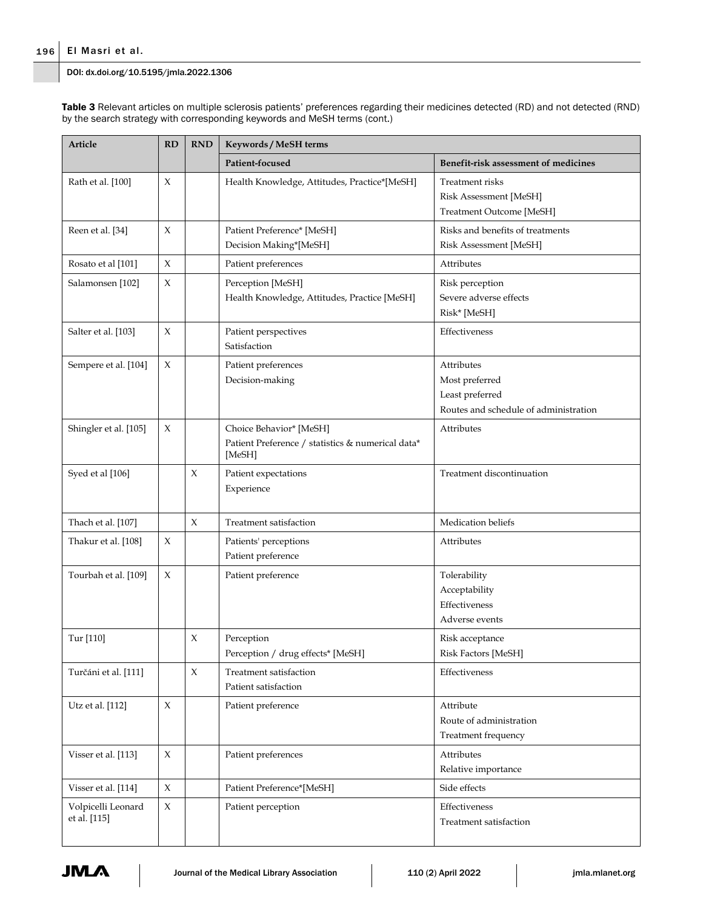Table 3 Relevant articles on multiple sclerosis patients' preferences regarding their medicines detected (RD) and not detected (RND) by the search strategy with corresponding keywords and MeSH terms (cont.)

| Article<br>RD<br><b>RND</b><br>Keywords / MeSH terms<br>Patient-focused |             |             |                                                                                        |                                                                                          |
|-------------------------------------------------------------------------|-------------|-------------|----------------------------------------------------------------------------------------|------------------------------------------------------------------------------------------|
|                                                                         |             |             |                                                                                        | Benefit-risk assessment of medicines                                                     |
| Rath et al. [100]                                                       | X           |             | Health Knowledge, Attitudes, Practice*[MeSH]                                           | Treatment risks<br>Risk Assessment [MeSH]<br>Treatment Outcome [MeSH]                    |
| Reen et al. [34]                                                        | X           |             | Patient Preference* [MeSH]<br>Decision Making*[MeSH]                                   | Risks and benefits of treatments<br>Risk Assessment [MeSH]                               |
| Rosato et al [101]                                                      | X           |             | Patient preferences                                                                    | Attributes                                                                               |
| Salamonsen [102]                                                        | X           |             | Perception [MeSH]<br>Health Knowledge, Attitudes, Practice [MeSH]                      | Risk perception<br>Severe adverse effects<br>Risk* [MeSH]                                |
| Salter et al. [103]                                                     | X           |             | Patient perspectives<br>Satisfaction                                                   | Effectiveness                                                                            |
| Sempere et al. [104]                                                    | X           |             | Patient preferences<br>Decision-making                                                 | Attributes<br>Most preferred<br>Least preferred<br>Routes and schedule of administration |
| Shingler et al. [105]                                                   | X           |             | Choice Behavior* [MeSH]<br>Patient Preference / statistics & numerical data*<br>[MeSH] | Attributes                                                                               |
| Syed et al [106]                                                        |             | $\chi$      | Patient expectations<br>Experience                                                     | Treatment discontinuation                                                                |
| Thach et al. [107]                                                      |             | $\chi$      | Treatment satisfaction                                                                 | Medication beliefs                                                                       |
| Thakur et al. [108]                                                     | X           |             | Patients' perceptions<br>Patient preference                                            | Attributes                                                                               |
| Tourbah et al. [109]                                                    | X           |             | Patient preference                                                                     | Tolerability<br>Acceptability<br>Effectiveness<br>Adverse events                         |
| Tur [110]                                                               |             | $\chi$      | Perception<br>Perception / drug effects* [MeSH]                                        | Risk acceptance<br>Risk Factors [MeSH]                                                   |
| Turčáni et al. [111]                                                    |             | $\mathsf X$ | Treatment satisfaction<br>Patient satisfaction                                         | Effectiveness                                                                            |
| Utz et al. [112]                                                        | X           |             | Patient preference                                                                     | Attribute<br>Route of administration<br>Treatment frequency                              |
| Visser et al. [113]                                                     | X           |             | Patient preferences                                                                    | Attributes<br>Relative importance                                                        |
| Visser et al. [114]                                                     | $\mathsf X$ |             | Patient Preference*[MeSH]                                                              | Side effects                                                                             |
| Volpicelli Leonard<br>et al. [115]                                      | X           |             | Patient perception                                                                     | Effectiveness<br>Treatment satisfaction                                                  |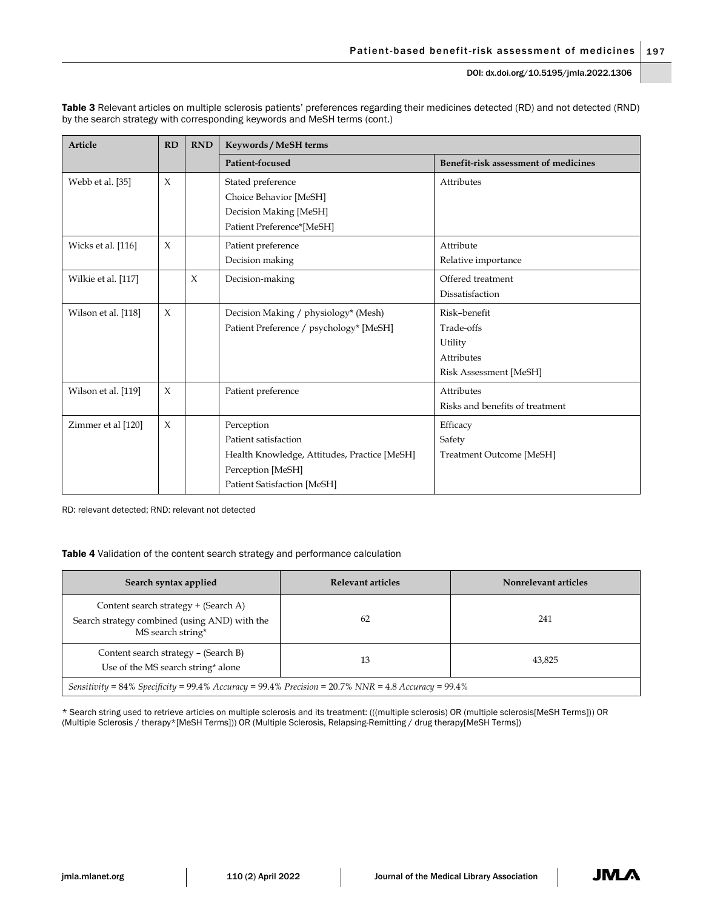| Article             | RD     | <b>RND</b> | Keywords / MeSH terms                        |                                      |  |
|---------------------|--------|------------|----------------------------------------------|--------------------------------------|--|
|                     |        |            | Patient-focused                              | Benefit-risk assessment of medicines |  |
| Webb et al. [35]    | $\chi$ |            | Stated preference                            | Attributes                           |  |
|                     |        |            | Choice Behavior [MeSH]                       |                                      |  |
|                     |        |            | Decision Making [MeSH]                       |                                      |  |
|                     |        |            | Patient Preference*[MeSH]                    |                                      |  |
| Wicks et al. [116]  | $\chi$ |            | Patient preference                           | Attribute                            |  |
|                     |        |            | Decision making                              | Relative importance                  |  |
| Wilkie et al. [117] |        | $\chi$     | Decision-making                              | Offered treatment                    |  |
|                     |        |            |                                              | Dissatisfaction                      |  |
| Wilson et al. [118] | $\chi$ |            | Decision Making / physiology* (Mesh)         | Risk-benefit                         |  |
|                     |        |            | Patient Preference / psychology* [MeSH]      | Trade-offs                           |  |
|                     |        |            |                                              | Utility                              |  |
|                     |        |            |                                              | <b>Attributes</b>                    |  |
|                     |        |            |                                              | Risk Assessment [MeSH]               |  |
| Wilson et al. [119] | $\chi$ |            | Patient preference                           | Attributes                           |  |
|                     |        |            |                                              | Risks and benefits of treatment      |  |
| Zimmer et al [120]  | $\chi$ |            | Perception                                   | Efficacy                             |  |
|                     |        |            | Patient satisfaction                         | Safety                               |  |
|                     |        |            | Health Knowledge, Attitudes, Practice [MeSH] | Treatment Outcome [MeSH]             |  |
|                     |        |            | Perception [MeSH]                            |                                      |  |
|                     |        |            | Patient Satisfaction [MeSH]                  |                                      |  |

Table 3 Relevant articles on multiple sclerosis patients' preferences regarding their medicines detected (RD) and not detected (RND) by the search strategy with corresponding keywords and MeSH terms (cont.)

RD: relevant detected; RND: relevant not detected

## Table 4 Validation of the content search strategy and performance calculation

| Search syntax applied                                                                                      | Relevant articles | Nonrelevant articles |  |  |  |  |
|------------------------------------------------------------------------------------------------------------|-------------------|----------------------|--|--|--|--|
| Content search strategy + (Search A)<br>Search strategy combined (using AND) with the<br>MS search string* | 62                | 241                  |  |  |  |  |
| Content search strategy – (Search B)<br>43,825<br>13<br>Use of the MS search string* alone                 |                   |                      |  |  |  |  |
| Sensitivity = 84% Specificity = 99.4% Accuracy = 99.4% Precision = 20.7% NNR = 4.8 Accuracy = 99.4%        |                   |                      |  |  |  |  |

\* Search string used to retrieve articles on multiple sclerosis and its treatment: (((multiple sclerosis) OR (multiple sclerosis[MeSH Terms])) OR (Multiple Sclerosis / therapy\*[MeSH Terms])) OR (Multiple Sclerosis, Relapsing-Remitting / drug therapy[MeSH Terms])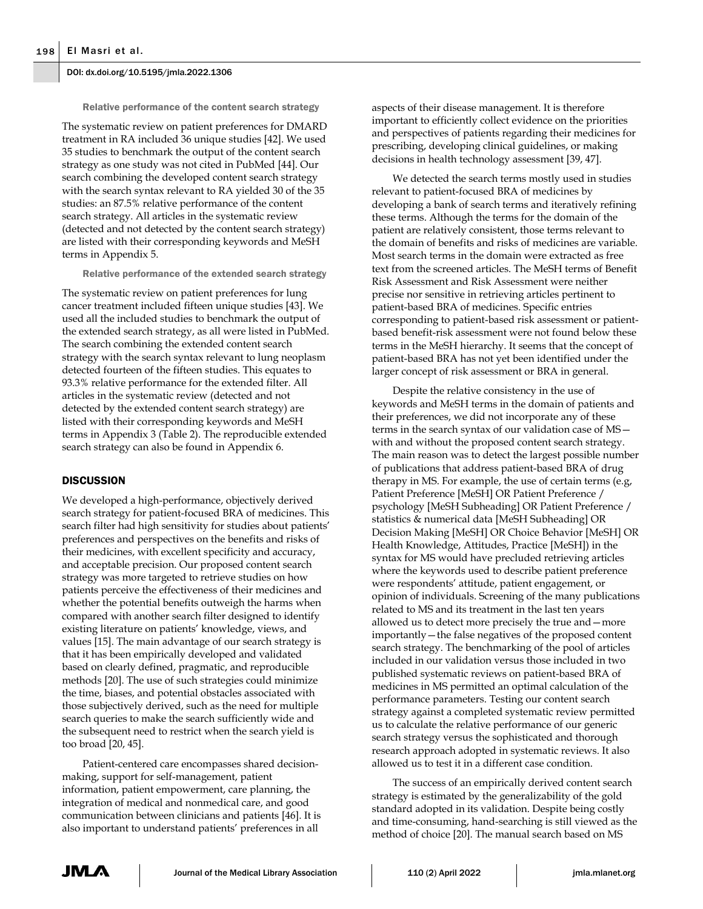Relative performance of the content search strategy

The systematic review on patient preferences for DMARD treatment in RA included 36 unique studies [42]. We used 35 studies to benchmark the output of the content search strategy as one study was not cited in PubMed [44]. Our search combining the developed content search strategy with the search syntax relevant to RA yielded 30 of the 35 studies: an 87.5% relative performance of the content search strategy. All articles in the systematic review (detected and not detected by the content search strategy) are listed with their corresponding keywords and MeSH terms in Appendix 5.

Relative performance of the extended search strategy

The systematic review on patient preferences for lung cancer treatment included fifteen unique studies [43]. We used all the included studies to benchmark the output of the extended search strategy, as all were listed in PubMed. The search combining the extended content search strategy with the search syntax relevant to lung neoplasm detected fourteen of the fifteen studies. This equates to 93.3% relative performance for the extended filter. All articles in the systematic review (detected and not detected by the extended content search strategy) are listed with their corresponding keywords and MeSH terms in Appendix 3 (Table 2). The reproducible extended search strategy can also be found in Appendix 6.

#### **DISCUSSION**

We developed a high-performance, objectively derived search strategy for patient-focused BRA of medicines. This search filter had high sensitivity for studies about patients' preferences and perspectives on the benefits and risks of their medicines, with excellent specificity and accuracy, and acceptable precision. Our proposed content search strategy was more targeted to retrieve studies on how patients perceive the effectiveness of their medicines and whether the potential benefits outweigh the harms when compared with another search filter designed to identify existing literature on patients' knowledge, views, and values [15]. The main advantage of our search strategy is that it has been empirically developed and validated based on clearly defined, pragmatic, and reproducible methods [20]. The use of such strategies could minimize the time, biases, and potential obstacles associated with those subjectively derived, such as the need for multiple search queries to make the search sufficiently wide and the subsequent need to restrict when the search yield is too broad [20, 45].

Patient-centered care encompasses shared decisionmaking, support for self-management, patient information, patient empowerment, care planning, the integration of medical and nonmedical care, and good communication between clinicians and patients [46]. It is also important to understand patients' preferences in all

aspects of their disease management. It is therefore important to efficiently collect evidence on the priorities and perspectives of patients regarding their medicines for prescribing, developing clinical guidelines, or making decisions in health technology assessment [39, 47].

We detected the search terms mostly used in studies relevant to patient-focused BRA of medicines by developing a bank of search terms and iteratively refining these terms. Although the terms for the domain of the patient are relatively consistent, those terms relevant to the domain of benefits and risks of medicines are variable. Most search terms in the domain were extracted as free text from the screened articles. The MeSH terms of Benefit Risk Assessment and Risk Assessment were neither precise nor sensitive in retrieving articles pertinent to patient-based BRA of medicines. Specific entries corresponding to patient-based risk assessment or patientbased benefit-risk assessment were not found below these terms in the MeSH hierarchy. It seems that the concept of patient-based BRA has not yet been identified under the larger concept of risk assessment or BRA in general.

Despite the relative consistency in the use of keywords and MeSH terms in the domain of patients and their preferences, we did not incorporate any of these terms in the search syntax of our validation case of MS with and without the proposed content search strategy. The main reason was to detect the largest possible number of publications that address patient-based BRA of drug therapy in MS. For example, the use of certain terms (e.g, Patient Preference [MeSH] OR Patient Preference / psychology [MeSH Subheading] OR Patient Preference / statistics & numerical data [MeSH Subheading] OR Decision Making [MeSH] OR Choice Behavior [MeSH] OR Health Knowledge, Attitudes, Practice [MeSH]) in the syntax for MS would have precluded retrieving articles where the keywords used to describe patient preference were respondents' attitude, patient engagement, or opinion of individuals. Screening of the many publications related to MS and its treatment in the last ten years allowed us to detect more precisely the true and—more importantly—the false negatives of the proposed content search strategy. The benchmarking of the pool of articles included in our validation versus those included in two published systematic reviews on patient-based BRA of medicines in MS permitted an optimal calculation of the performance parameters. Testing our content search strategy against a completed systematic review permitted us to calculate the relative performance of our generic search strategy versus the sophisticated and thorough research approach adopted in systematic reviews. It also allowed us to test it in a different case condition.

The success of an empirically derived content search strategy is estimated by the generalizability of the gold standard adopted in its validation. Despite being costly and time-consuming, hand-searching is still viewed as the method of choice [20]. The manual search based on MS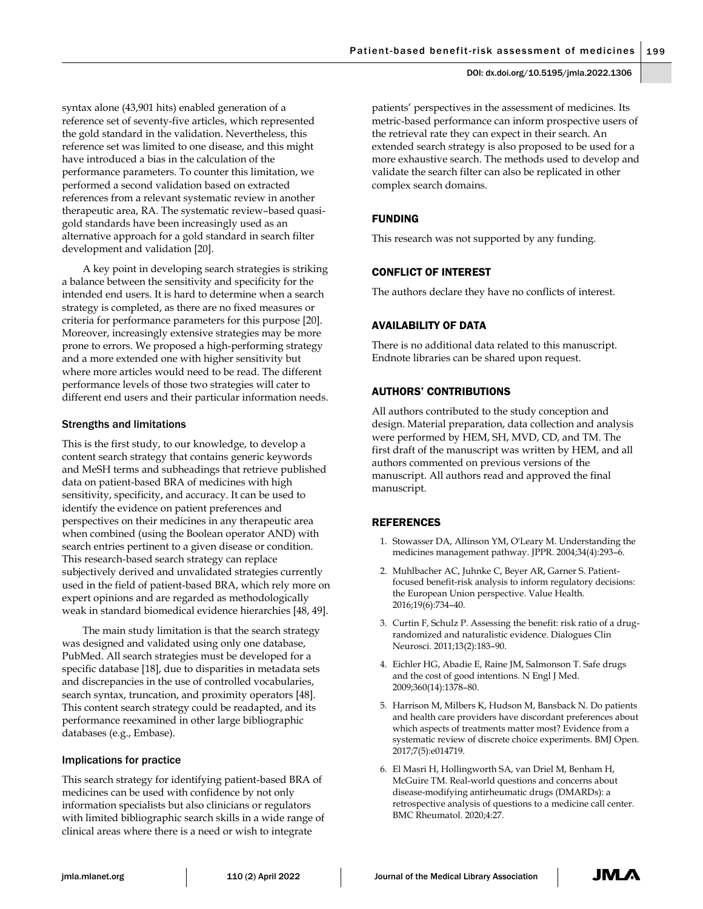syntax alone (43,901 hits) enabled generation of a reference set of seventy-five articles, which represented the gold standard in the validation. Nevertheless, this reference set was limited to one disease, and this might have introduced a bias in the calculation of the performance parameters. To counter this limitation, we performed a second validation based on extracted references from a relevant systematic review in another therapeutic area, RA. The systematic review–based quasigold standards have been increasingly used as an alternative approach for a gold standard in search filter development and validation [20].

A key point in developing search strategies is striking a balance between the sensitivity and specificity for the intended end users. It is hard to determine when a search strategy is completed, as there are no fixed measures or criteria for performance parameters for this purpose [20]. Moreover, increasingly extensive strategies may be more prone to errors. We proposed a high-performing strategy and a more extended one with higher sensitivity but where more articles would need to be read. The different performance levels of those two strategies will cater to different end users and their particular information needs.

## Strengths and limitations

This is the first study, to our knowledge, to develop a content search strategy that contains generic keywords and MeSH terms and subheadings that retrieve published data on patient-based BRA of medicines with high sensitivity, specificity, and accuracy. It can be used to identify the evidence on patient preferences and perspectives on their medicines in any therapeutic area when combined (using the Boolean operator AND) with search entries pertinent to a given disease or condition. This research-based search strategy can replace subjectively derived and unvalidated strategies currently used in the field of patient-based BRA, which rely more on expert opinions and are regarded as methodologically weak in standard biomedical evidence hierarchies [48, 49].

The main study limitation is that the search strategy was designed and validated using only one database, PubMed. All search strategies must be developed for a specific database [18], due to disparities in metadata sets and discrepancies in the use of controlled vocabularies, search syntax, truncation, and proximity operators [48]. This content search strategy could be readapted, and its performance reexamined in other large bibliographic databases (e.g., Embase).

## Implications for practice

This search strategy for identifying patient-based BRA of medicines can be used with confidence by not only information specialists but also clinicians or regulators with limited bibliographic search skills in a wide range of clinical areas where there is a need or wish to integrate

patients' perspectives in the assessment of medicines. Its metric-based performance can inform prospective users of the retrieval rate they can expect in their search. An extended search strategy is also proposed to be used for a more exhaustive search. The methods used to develop and validate the search filter can also be replicated in other complex search domains.

## FUNDING

This research was not supported by any funding.

## CONFLICT OF INTEREST

The authors declare they have no conflicts of interest.

## AVAILABILITY OF DATA

There is no additional data related to this manuscript. Endnote libraries can be shared upon request.

## AUTHORS' CONTRIBUTIONS

All authors contributed to the study conception and design. Material preparation, data collection and analysis were performed by HEM, SH, MVD, CD, and TM. The first draft of the manuscript was written by HEM, and all authors commented on previous versions of the manuscript. All authors read and approved the final manuscript.

#### REFERENCES

- 1. Stowasser DA, Allinson YM, O'Leary M. Understanding the medicines management pathway. JPPR. 2004;34(4):293–6.
- 2. Muhlbacher AC, Juhnke C, Beyer AR, Garner S. Patientfocused benefit-risk analysis to inform regulatory decisions: the European Union perspective. Value Health. 2016;19(6):734–40.
- 3. Curtin F, Schulz P. Assessing the benefit: risk ratio of a drugrandomized and naturalistic evidence. Dialogues Clin Neurosci. 2011;13(2):183–90.
- 4. Eichler HG, Abadie E, Raine JM, Salmonson T. Safe drugs and the cost of good intentions. N Engl J Med. 2009;360(14):1378–80.
- 5. Harrison M, Milbers K, Hudson M, Bansback N. Do patients and health care providers have discordant preferences about which aspects of treatments matter most? Evidence from a systematic review of discrete choice experiments. BMJ Open. 2017;7(5):e014719.
- 6. El Masri H, Hollingworth SA, van Driel M, Benham H, McGuire TM. Real-world questions and concerns about disease-modifying antirheumatic drugs (DMARDs): a retrospective analysis of questions to a medicine call center. BMC Rheumatol. 2020;4:27.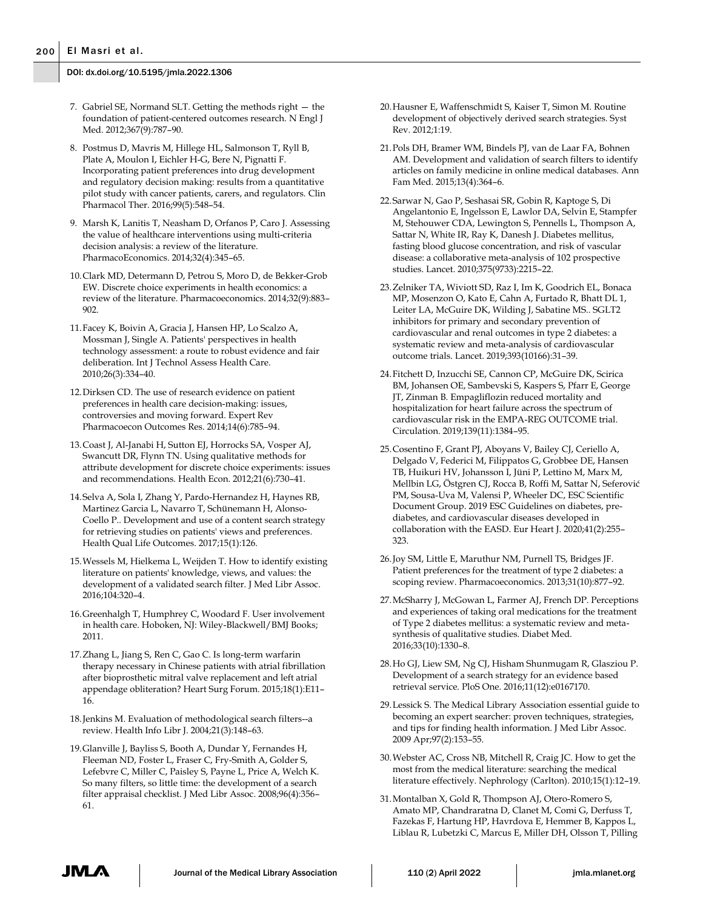- 7. Gabriel SE, Normand SLT. Getting the methods right the foundation of patient-centered outcomes research. N Engl J Med. 2012;367(9):787–90.
- 8. Postmus D, Mavris M, Hillege HL, Salmonson T, Ryll B, Plate A, Moulon I, Eichler H-G, Bere N, Pignatti F. Incorporating patient preferences into drug development and regulatory decision making: results from a quantitative pilot study with cancer patients, carers, and regulators. Clin Pharmacol Ther. 2016;99(5):548–54.
- 9. Marsh K, Lanitis T, Neasham D, Orfanos P, Caro J. Assessing the value of healthcare interventions using multi-criteria decision analysis: a review of the literature. PharmacoEconomics. 2014;32(4):345–65.
- 10.Clark MD, Determann D, Petrou S, Moro D, de Bekker-Grob EW. Discrete choice experiments in health economics: a review of the literature. Pharmacoeconomics. 2014;32(9):883– 902.
- 11.Facey K, Boivin A, Gracia J, Hansen HP, Lo Scalzo A, Mossman J, Single A. Patients' perspectives in health technology assessment: a route to robust evidence and fair deliberation. Int J Technol Assess Health Care. 2010;26(3):334–40.
- 12.Dirksen CD. The use of research evidence on patient preferences in health care decision-making: issues, controversies and moving forward. Expert Rev Pharmacoecon Outcomes Res. 2014;14(6):785–94.
- 13.Coast J, Al-Janabi H, Sutton EJ, Horrocks SA, Vosper AJ, Swancutt DR, Flynn TN. Using qualitative methods for attribute development for discrete choice experiments: issues and recommendations. Health Econ. 2012;21(6):730–41.
- 14.Selva A, Sola I, Zhang Y, Pardo-Hernandez H, Haynes RB, Martinez Garcia L, Navarro T, Schünemann H, Alonso-Coello P.. Development and use of a content search strategy for retrieving studies on patients' views and preferences. Health Qual Life Outcomes. 2017;15(1):126.
- 15.Wessels M, Hielkema L, Weijden T. How to identify existing literature on patients' knowledge, views, and values: the development of a validated search filter. J Med Libr Assoc. 2016;104:320–4.
- 16.Greenhalgh T, Humphrey C, Woodard F. User involvement in health care. Hoboken, NJ: Wiley-Blackwell/BMJ Books; 2011.
- 17.Zhang L, Jiang S, Ren C, Gao C. Is long-term warfarin therapy necessary in Chinese patients with atrial fibrillation after bioprosthetic mitral valve replacement and left atrial appendage obliteration? Heart Surg Forum. 2015;18(1):E11– 16.
- 18.Jenkins M. Evaluation of methodological search filters--a review. Health Info Libr J. 2004;21(3):148–63.
- 19.Glanville J, Bayliss S, Booth A, Dundar Y, Fernandes H, Fleeman ND, Foster L, Fraser C, Fry-Smith A, Golder S, Lefebvre C, Miller C, Paisley S, Payne L, Price A, Welch K. So many filters, so little time: the development of a search filter appraisal checklist. J Med Libr Assoc. 2008;96(4):356– 61.
- 20.Hausner E, Waffenschmidt S, Kaiser T, Simon M. Routine development of objectively derived search strategies. Syst Rev. 2012;1:19.
- 21.Pols DH, Bramer WM, Bindels PJ, van de Laar FA, Bohnen AM. Development and validation of search filters to identify articles on family medicine in online medical databases. Ann Fam Med. 2015;13(4):364–6.
- 22.Sarwar N, Gao P, Seshasai SR, Gobin R, Kaptoge S, Di Angelantonio E, Ingelsson E, Lawlor DA, Selvin E, Stampfer M, Stehouwer CDA, Lewington S, Pennells L, Thompson A, Sattar N, White IR, Ray K, Danesh J. Diabetes mellitus, fasting blood glucose concentration, and risk of vascular disease: a collaborative meta-analysis of 102 prospective studies. Lancet. 2010;375(9733):2215–22.
- 23.Zelniker TA, Wiviott SD, Raz I, Im K, Goodrich EL, Bonaca MP, Mosenzon O, Kato E, Cahn A, Furtado R, Bhatt DL 1, Leiter LA, McGuire DK, Wilding J, Sabatine MS.. SGLT2 inhibitors for primary and secondary prevention of cardiovascular and renal outcomes in type 2 diabetes: a systematic review and meta-analysis of cardiovascular outcome trials. Lancet. 2019;393(10166):31–39.
- 24.Fitchett D, Inzucchi SE, Cannon CP, McGuire DK, Scirica BM, Johansen OE, Sambevski S, Kaspers S, Pfarr E, George JT, Zinman B. Empagliflozin reduced mortality and hospitalization for heart failure across the spectrum of cardiovascular risk in the EMPA-REG OUTCOME trial. Circulation. 2019;139(11):1384–95.
- 25.Cosentino F, Grant PJ, Aboyans V, Bailey CJ, Ceriello A, Delgado V, Federici M, Filippatos G, Grobbee DE, Hansen TB, Huikuri HV, Johansson I, Jüni P, Lettino M, Marx M, Mellbin LG, Östgren CJ, Rocca B, Roffi M, Sattar N, Seferović PM, Sousa-Uva M, Valensi P, Wheeler DC, ESC Scientific Document Group. 2019 ESC Guidelines on diabetes, prediabetes, and cardiovascular diseases developed in collaboration with the EASD. Eur Heart J. 2020;41(2):255– 323.
- 26.Joy SM, Little E, Maruthur NM, Purnell TS, Bridges JF. Patient preferences for the treatment of type 2 diabetes: a scoping review. Pharmacoeconomics. 2013;31(10):877–92.
- 27.McSharry J, McGowan L, Farmer AJ, French DP. Perceptions and experiences of taking oral medications for the treatment of Type 2 diabetes mellitus: a systematic review and metasynthesis of qualitative studies. Diabet Med. 2016;33(10):1330–8.
- 28.Ho GJ, Liew SM, Ng CJ, Hisham Shunmugam R, Glasziou P. Development of a search strategy for an evidence based retrieval service. PloS One. 2016;11(12):e0167170.
- 29.Lessick S. The Medical Library Association essential guide to becoming an expert searcher: proven techniques, strategies, and tips for finding health information. J Med Libr Assoc. 2009 Apr;97(2):153–55.
- 30.Webster AC, Cross NB, Mitchell R, Craig JC. How to get the most from the medical literature: searching the medical literature effectively. Nephrology (Carlton). 2010;15(1):12–19.
- 31.Montalban X, Gold R, Thompson AJ, Otero-Romero S, Amato MP, Chandraratna D, Clanet M, Comi G, Derfuss T, Fazekas F, Hartung HP, Havrdova E, Hemmer B, Kappos L, Liblau R, Lubetzki C, Marcus E, Miller DH, Olsson T, Pilling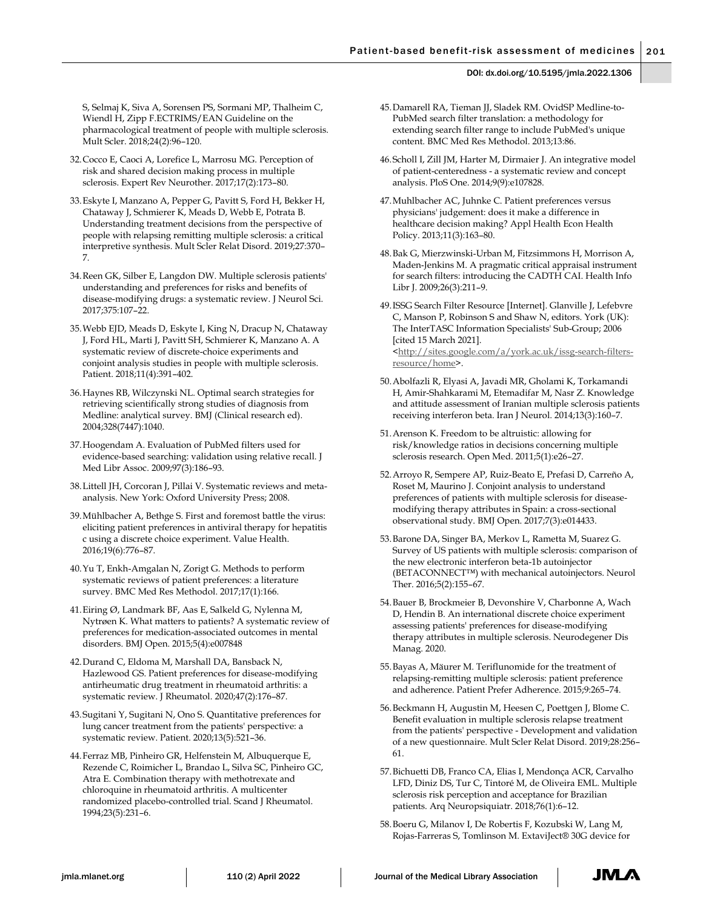S, Selmaj K, Siva A, Sorensen PS, Sormani MP, Thalheim C, Wiendl H, Zipp F.ECTRIMS/EAN Guideline on the pharmacological treatment of people with multiple sclerosis. Mult Scler. 2018;24(2):96–120.

- 32.Cocco E, Caoci A, Lorefice L, Marrosu MG. Perception of risk and shared decision making process in multiple sclerosis. Expert Rev Neurother. 2017;17(2):173–80.
- 33.Eskyte I, Manzano A, Pepper G, Pavitt S, Ford H, Bekker H, Chataway J, Schmierer K, Meads D, Webb E, Potrata B. Understanding treatment decisions from the perspective of people with relapsing remitting multiple sclerosis: a critical interpretive synthesis. Mult Scler Relat Disord. 2019;27:370– 7.
- 34.Reen GK, Silber E, Langdon DW. Multiple sclerosis patients' understanding and preferences for risks and benefits of disease-modifying drugs: a systematic review. J Neurol Sci. 2017;375:107–22.
- 35.Webb EJD, Meads D, Eskyte I, King N, Dracup N, Chataway J, Ford HL, Marti J, Pavitt SH, Schmierer K, Manzano A. A systematic review of discrete-choice experiments and conjoint analysis studies in people with multiple sclerosis. Patient. 2018;11(4):391–402.
- 36.Haynes RB, Wilczynski NL. Optimal search strategies for retrieving scientifically strong studies of diagnosis from Medline: analytical survey. BMJ (Clinical research ed). 2004;328(7447):1040.
- 37.Hoogendam A. Evaluation of PubMed filters used for evidence-based searching: validation using relative recall. J Med Libr Assoc. 2009;97(3):186–93.
- 38.Littell JH, Corcoran J, Pillai V. Systematic reviews and metaanalysis. New York: Oxford University Press; 2008.
- 39.Mühlbacher A, Bethge S. First and foremost battle the virus: eliciting patient preferences in antiviral therapy for hepatitis c using a discrete choice experiment. Value Health. 2016;19(6):776–87.
- 40.Yu T, Enkh-Amgalan N, Zorigt G. Methods to perform systematic reviews of patient preferences: a literature survey. BMC Med Res Methodol. 2017;17(1):166.
- 41.Eiring Ø, Landmark BF, Aas E, Salkeld G, Nylenna M, Nytrøen K. What matters to patients? A systematic review of preferences for medication-associated outcomes in mental disorders. BMJ Open. 2015;5(4):e007848
- 42.Durand C, Eldoma M, Marshall DA, Bansback N, Hazlewood GS. Patient preferences for disease-modifying antirheumatic drug treatment in rheumatoid arthritis: a systematic review. J Rheumatol. 2020;47(2):176–87.
- 43.Sugitani Y, Sugitani N, Ono S. Quantitative preferences for lung cancer treatment from the patients' perspective: a systematic review. Patient. 2020;13(5):521–36.
- 44.Ferraz MB, Pinheiro GR, Helfenstein M, Albuquerque E, Rezende C, Roimicher L, Brandao L, Silva SC, Pinheiro GC, Atra E. Combination therapy with methotrexate and chloroquine in rheumatoid arthritis. A multicenter randomized placebo-controlled trial. Scand J Rheumatol. 1994;23(5):231–6.
- 45.Damarell RA, Tieman JJ, Sladek RM. OvidSP Medline-to-PubMed search filter translation: a methodology for extending search filter range to include PubMed's unique content. BMC Med Res Methodol. 2013;13:86.
- 46.Scholl I, Zill JM, Harter M, Dirmaier J. An integrative model of patient-centeredness - a systematic review and concept analysis. PloS One. 2014;9(9):e107828.
- 47.Muhlbacher AC, Juhnke C. Patient preferences versus physicians' judgement: does it make a difference in healthcare decision making? Appl Health Econ Health Policy. 2013;11(3):163–80.
- 48.Bak G, Mierzwinski‐Urban M, Fitzsimmons H, Morrison A, Maden‐Jenkins M. A pragmatic critical appraisal instrument for search filters: introducing the CADTH CAI. Health Info Libr J. 2009;26(3):211–9.

49.ISSG Search Filter Resource [Internet]. Glanville J, Lefebvre C, Manson P, Robinson S and Shaw N, editors. York (UK): The InterTASC Information Specialists' Sub-Group; 2006 [cited 15 March 2021]. [<http://sites.google.com/a/york.ac.uk/issg-search-filters](http://sites.google.com/a/york.ac.uk/issg-search-filters-resource/home)[resource/home>](http://sites.google.com/a/york.ac.uk/issg-search-filters-resource/home).

- 50.Abolfazli R, Elyasi A, Javadi MR, Gholami K, Torkamandi H, Amir-Shahkarami M, Etemadifar M, Nasr Z. Knowledge and attitude assessment of Iranian multiple sclerosis patients receiving interferon beta. Iran J Neurol. 2014;13(3):160–7.
- 51.Arenson K. Freedom to be altruistic: allowing for risk/knowledge ratios in decisions concerning multiple sclerosis research. Open Med. 2011;5(1):e26–27.
- 52.Arroyo R, Sempere AP, Ruiz-Beato E, Prefasi D, Carreño A, Roset M, Maurino J. Conjoint analysis to understand preferences of patients with multiple sclerosis for diseasemodifying therapy attributes in Spain: a cross-sectional observational study. BMJ Open. 2017;7(3):e014433.
- 53.Barone DA, Singer BA, Merkov L, Rametta M, Suarez G. Survey of US patients with multiple sclerosis: comparison of the new electronic interferon beta-1b autoinjector (BETACONNECT™) with mechanical autoinjectors. Neurol Ther. 2016;5(2):155–67.
- 54.Bauer B, Brockmeier B, Devonshire V, Charbonne A, Wach D, Hendin B. An international discrete choice experiment assessing patients' preferences for disease-modifying therapy attributes in multiple sclerosis. Neurodegener Dis Manag. 2020.
- 55.Bayas A, Mäurer M. Teriflunomide for the treatment of relapsing-remitting multiple sclerosis: patient preference and adherence. Patient Prefer Adherence. 2015;9:265–74.
- 56.Beckmann H, Augustin M, Heesen C, Poettgen J, Blome C. Benefit evaluation in multiple sclerosis relapse treatment from the patients' perspective - Development and validation of a new questionnaire. Mult Scler Relat Disord. 2019;28:256– 61.
- 57.Bichuetti DB, Franco CA, Elias I, Mendonça ACR, Carvalho LFD, Diniz DS, Tur C, Tintoré M, de Oliveira EML. Multiple sclerosis risk perception and acceptance for Brazilian patients. Arq Neuropsiquiatr. 2018;76(1):6–12.
- 58.Boeru G, Milanov I, De Robertis F, Kozubski W, Lang M, Rojas-Farreras S, Tomlinson M. ExtaviJect® 30G device for

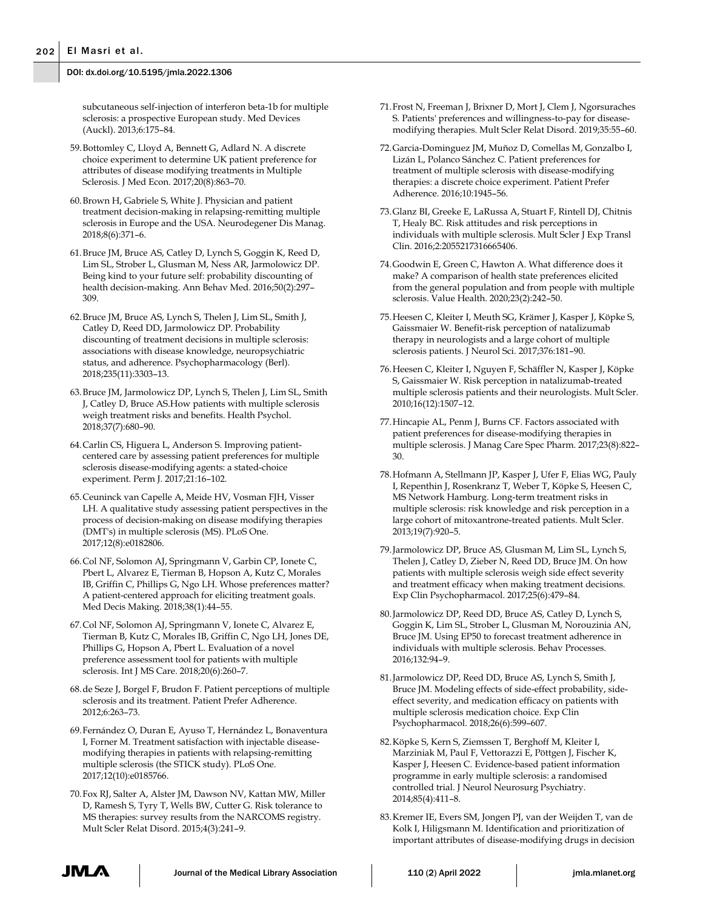subcutaneous self-injection of interferon beta-1b for multiple sclerosis: a prospective European study. Med Devices (Auckl). 2013;6:175–84.

- 59.Bottomley C, Lloyd A, Bennett G, Adlard N. A discrete choice experiment to determine UK patient preference for attributes of disease modifying treatments in Multiple Sclerosis. J Med Econ. 2017;20(8):863–70.
- 60.Brown H, Gabriele S, White J. Physician and patient treatment decision-making in relapsing-remitting multiple sclerosis in Europe and the USA. Neurodegener Dis Manag. 2018;8(6):371–6.
- 61.Bruce JM, Bruce AS, Catley D, Lynch S, Goggin K, Reed D, Lim SL, Strober L, Glusman M, Ness AR, Jarmolowicz DP. Being kind to your future self: probability discounting of health decision-making. Ann Behav Med. 2016;50(2):297– 309.
- 62.Bruce JM, Bruce AS, Lynch S, Thelen J, Lim SL, Smith J, Catley D, Reed DD, Jarmolowicz DP. Probability discounting of treatment decisions in multiple sclerosis: associations with disease knowledge, neuropsychiatric status, and adherence. Psychopharmacology (Berl). 2018;235(11):3303–13.
- 63.Bruce JM, Jarmolowicz DP, Lynch S, Thelen J, Lim SL, Smith J, Catley D, Bruce AS.How patients with multiple sclerosis weigh treatment risks and benefits. Health Psychol. 2018;37(7):680–90.
- 64.Carlin CS, Higuera L, Anderson S. Improving patientcentered care by assessing patient preferences for multiple sclerosis disease-modifying agents: a stated-choice experiment. Perm J. 2017;21:16–102.
- 65.Ceuninck van Capelle A, Meide HV, Vosman FJH, Visser LH. A qualitative study assessing patient perspectives in the process of decision-making on disease modifying therapies (DMT's) in multiple sclerosis (MS). PLoS One. 2017;12(8):e0182806.
- 66.Col NF, Solomon AJ, Springmann V, Garbin CP, Ionete C, Pbert L, Alvarez E, Tierman B, Hopson A, Kutz C, Morales IB, Griffin C, Phillips G, Ngo LH. Whose preferences matter? A patient-centered approach for eliciting treatment goals. Med Decis Making. 2018;38(1):44–55.
- 67.Col NF, Solomon AJ, Springmann V, Ionete C, Alvarez E, Tierman B, Kutz C, Morales IB, Griffin C, Ngo LH, Jones DE, Phillips G, Hopson A, Pbert L. Evaluation of a novel preference assessment tool for patients with multiple sclerosis. Int J MS Care. 2018;20(6):260–7.
- 68.de Seze J, Borgel F, Brudon F. Patient perceptions of multiple sclerosis and its treatment. Patient Prefer Adherence. 2012;6:263–73.
- 69.Fernández O, Duran E, Ayuso T, Hernández L, Bonaventura I, Forner M. Treatment satisfaction with injectable diseasemodifying therapies in patients with relapsing-remitting multiple sclerosis (the STICK study). PLoS One. 2017;12(10):e0185766.
- 70.Fox RJ, Salter A, Alster JM, Dawson NV, Kattan MW, Miller D, Ramesh S, Tyry T, Wells BW, Cutter G. Risk tolerance to MS therapies: survey results from the NARCOMS registry. Mult Scler Relat Disord. 2015;4(3):241–9.
- 71.Frost N, Freeman J, Brixner D, Mort J, Clem J, Ngorsuraches S. Patients' preferences and willingness-to-pay for diseasemodifying therapies. Mult Scler Relat Disord. 2019;35:55–60.
- 72.Garcia-Dominguez JM, Muñoz D, Comellas M, Gonzalbo I, Lizán L, Polanco Sánchez C. Patient preferences for treatment of multiple sclerosis with disease-modifying therapies: a discrete choice experiment. Patient Prefer Adherence. 2016;10:1945–56.
- 73.Glanz BI, Greeke E, LaRussa A, Stuart F, Rintell DJ, Chitnis T, Healy BC. Risk attitudes and risk perceptions in individuals with multiple sclerosis. Mult Scler J Exp Transl Clin. 2016;2:2055217316665406.
- 74.Goodwin E, Green C, Hawton A. What difference does it make? A comparison of health state preferences elicited from the general population and from people with multiple sclerosis. Value Health. 2020;23(2):242–50.
- 75.Heesen C, Kleiter I, Meuth SG, Krämer J, Kasper J, Köpke S, Gaissmaier W. Benefit-risk perception of natalizumab therapy in neurologists and a large cohort of multiple sclerosis patients. J Neurol Sci. 2017;376:181–90.
- 76.Heesen C, Kleiter I, Nguyen F, Schäffler N, Kasper J, Köpke S, Gaissmaier W. Risk perception in natalizumab-treated multiple sclerosis patients and their neurologists. Mult Scler. 2010;16(12):1507–12.
- 77.Hincapie AL, Penm J, Burns CF. Factors associated with patient preferences for disease-modifying therapies in multiple sclerosis. J Manag Care Spec Pharm. 2017;23(8):822– 30.
- 78.Hofmann A, Stellmann JP, Kasper J, Ufer F, Elias WG, Pauly I, Repenthin J, Rosenkranz T, Weber T, Köpke S, Heesen C, MS Network Hamburg. Long-term treatment risks in multiple sclerosis: risk knowledge and risk perception in a large cohort of mitoxantrone-treated patients. Mult Scler. 2013;19(7):920–5.
- 79.Jarmolowicz DP, Bruce AS, Glusman M, Lim SL, Lynch S, Thelen J, Catley D, Zieber N, Reed DD, Bruce JM. On how patients with multiple sclerosis weigh side effect severity and treatment efficacy when making treatment decisions. Exp Clin Psychopharmacol. 2017;25(6):479–84.
- 80.Jarmolowicz DP, Reed DD, Bruce AS, Catley D, Lynch S, Goggin K, Lim SL, Strober L, Glusman M, Norouzinia AN, Bruce JM. Using EP50 to forecast treatment adherence in individuals with multiple sclerosis. Behav Processes. 2016;132:94–9.
- 81.Jarmolowicz DP, Reed DD, Bruce AS, Lynch S, Smith J, Bruce JM. Modeling effects of side-effect probability, sideeffect severity, and medication efficacy on patients with multiple sclerosis medication choice. Exp Clin Psychopharmacol. 2018;26(6):599–607.
- 82.Köpke S, Kern S, Ziemssen T, Berghoff M, Kleiter I, Marziniak M, Paul F, Vettorazzi E, Pöttgen J, Fischer K, Kasper J, Heesen C. Evidence-based patient information programme in early multiple sclerosis: a randomised controlled trial. J Neurol Neurosurg Psychiatry. 2014;85(4):411–8.
- 83.Kremer IE, Evers SM, Jongen PJ, van der Weijden T, van de Kolk I, Hiligsmann M. Identification and prioritization of important attributes of disease-modifying drugs in decision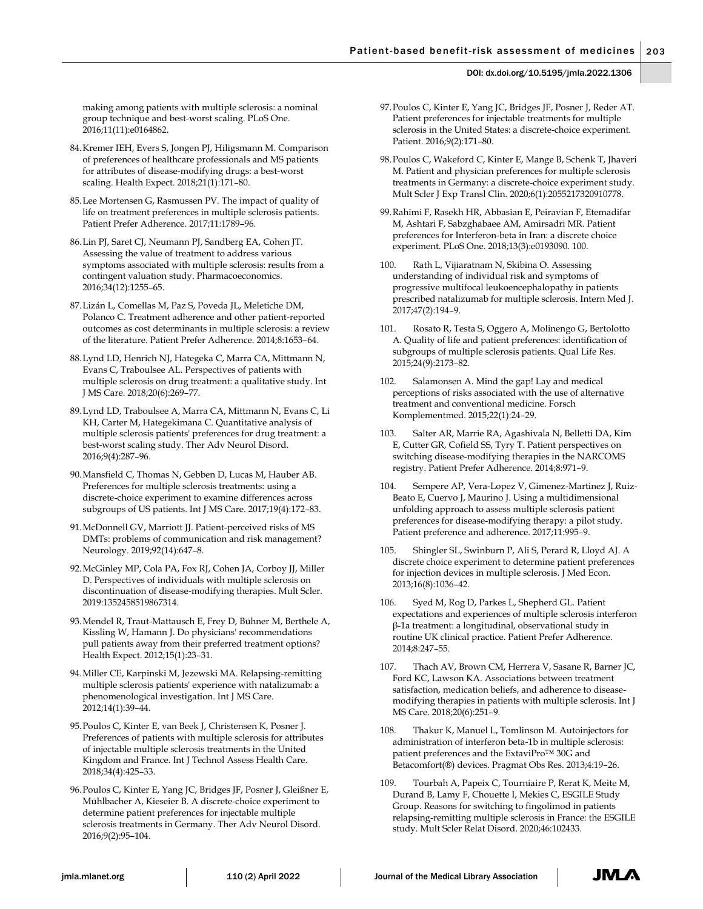making among patients with multiple sclerosis: a nominal group technique and best-worst scaling. PLoS One. 2016;11(11):e0164862.

- 84.Kremer IEH, Evers S, Jongen PJ, Hiligsmann M. Comparison of preferences of healthcare professionals and MS patients for attributes of disease-modifying drugs: a best-worst scaling. Health Expect. 2018;21(1):171–80.
- 85.Lee Mortensen G, Rasmussen PV. The impact of quality of life on treatment preferences in multiple sclerosis patients. Patient Prefer Adherence. 2017;11:1789–96.
- 86.Lin PJ, Saret CJ, Neumann PJ, Sandberg EA, Cohen JT. Assessing the value of treatment to address various symptoms associated with multiple sclerosis: results from a contingent valuation study. Pharmacoeconomics. 2016;34(12):1255–65.
- 87.Lizán L, Comellas M, Paz S, Poveda JL, Meletiche DM, Polanco C. Treatment adherence and other patient-reported outcomes as cost determinants in multiple sclerosis: a review of the literature. Patient Prefer Adherence. 2014;8:1653–64.
- 88.Lynd LD, Henrich NJ, Hategeka C, Marra CA, Mittmann N, Evans C, Traboulsee AL. Perspectives of patients with multiple sclerosis on drug treatment: a qualitative study. Int J MS Care. 2018;20(6):269–77.
- 89.Lynd LD, Traboulsee A, Marra CA, Mittmann N, Evans C, Li KH, Carter M, Hategekimana C. Quantitative analysis of multiple sclerosis patients' preferences for drug treatment: a best-worst scaling study. Ther Adv Neurol Disord. 2016;9(4):287–96.
- 90.Mansfield C, Thomas N, Gebben D, Lucas M, Hauber AB. Preferences for multiple sclerosis treatments: using a discrete-choice experiment to examine differences across subgroups of US patients. Int J MS Care. 2017;19(4):172–83.
- 91.McDonnell GV, Marriott JJ. Patient-perceived risks of MS DMTs: problems of communication and risk management? Neurology. 2019;92(14):647–8.
- 92.McGinley MP, Cola PA, Fox RJ, Cohen JA, Corboy JJ, Miller D. Perspectives of individuals with multiple sclerosis on discontinuation of disease-modifying therapies. Mult Scler. 2019:1352458519867314.
- 93.Mendel R, Traut-Mattausch E, Frey D, Bühner M, Berthele A, Kissling W, Hamann J. Do physicians' recommendations pull patients away from their preferred treatment options? Health Expect. 2012;15(1):23–31.
- 94.Miller CE, Karpinski M, Jezewski MA. Relapsing-remitting multiple sclerosis patients' experience with natalizumab: a phenomenological investigation. Int J MS Care. 2012;14(1):39–44.
- 95.Poulos C, Kinter E, van Beek J, Christensen K, Posner J. Preferences of patients with multiple sclerosis for attributes of injectable multiple sclerosis treatments in the United Kingdom and France. Int J Technol Assess Health Care. 2018;34(4):425–33.
- 96.Poulos C, Kinter E, Yang JC, Bridges JF, Posner J, Gleißner E, Mühlbacher A, Kieseier B. A discrete-choice experiment to determine patient preferences for injectable multiple sclerosis treatments in Germany. Ther Adv Neurol Disord. 2016;9(2):95–104.
- 97.Poulos C, Kinter E, Yang JC, Bridges JF, Posner J, Reder AT. Patient preferences for injectable treatments for multiple sclerosis in the United States: a discrete-choice experiment. Patient. 2016;9(2):171–80.
- 98.Poulos C, Wakeford C, Kinter E, Mange B, Schenk T, Jhaveri M. Patient and physician preferences for multiple sclerosis treatments in Germany: a discrete-choice experiment study. Mult Scler J Exp Transl Clin. 2020;6(1):2055217320910778.
- 99.Rahimi F, Rasekh HR, Abbasian E, Peiravian F, Etemadifar M, Ashtari F, Sabzghabaee AM, Amirsadri MR. Patient preferences for Interferon-beta in Iran: a discrete choice experiment. PLoS One. 2018;13(3):e0193090. 100.
- 100. Rath L, Vijiaratnam N, Skibina O. Assessing understanding of individual risk and symptoms of progressive multifocal leukoencephalopathy in patients prescribed natalizumab for multiple sclerosis. Intern Med J. 2017;47(2):194–9.
- 101. Rosato R, Testa S, Oggero A, Molinengo G, Bertolotto A. Quality of life and patient preferences: identification of subgroups of multiple sclerosis patients. Qual Life Res. 2015;24(9):2173–82.
- Salamonsen A. Mind the gap! Lay and medical perceptions of risks associated with the use of alternative treatment and conventional medicine. Forsch Komplementmed. 2015;22(1):24–29.
- 103. Salter AR, Marrie RA, Agashivala N, Belletti DA, Kim E, Cutter GR, Cofield SS, Tyry T. Patient perspectives on switching disease-modifying therapies in the NARCOMS registry. Patient Prefer Adherence. 2014;8:971–9.
- 104. Sempere AP, Vera-Lopez V, Gimenez-Martinez J, Ruiz-Beato E, Cuervo J, Maurino J. Using a multidimensional unfolding approach to assess multiple sclerosis patient preferences for disease-modifying therapy: a pilot study. Patient preference and adherence. 2017;11:995–9.
- 105. Shingler SL, Swinburn P, Ali S, Perard R, Lloyd AJ. A discrete choice experiment to determine patient preferences for injection devices in multiple sclerosis. J Med Econ. 2013;16(8):1036–42.
- 106. Syed M, Rog D, Parkes L, Shepherd GL. Patient expectations and experiences of multiple sclerosis interferon β-1a treatment: a longitudinal, observational study in routine UK clinical practice. Patient Prefer Adherence. 2014;8:247–55.
- 107. Thach AV, Brown CM, Herrera V, Sasane R, Barner JC, Ford KC, Lawson KA. Associations between treatment satisfaction, medication beliefs, and adherence to diseasemodifying therapies in patients with multiple sclerosis. Int J MS Care. 2018;20(6):251–9.
- 108. Thakur K, Manuel L, Tomlinson M. Autoinjectors for administration of interferon beta-1b in multiple sclerosis: patient preferences and the ExtaviPro™ 30G and Betacomfort(®) devices. Pragmat Obs Res. 2013;4:19–26.
- 109. Tourbah A, Papeix C, Tourniaire P, Rerat K, Meite M, Durand B, Lamy F, Chouette I, Mekies C, ESGILE Study Group. Reasons for switching to fingolimod in patients relapsing-remitting multiple sclerosis in France: the ESGILE study. Mult Scler Relat Disord. 2020;46:102433.